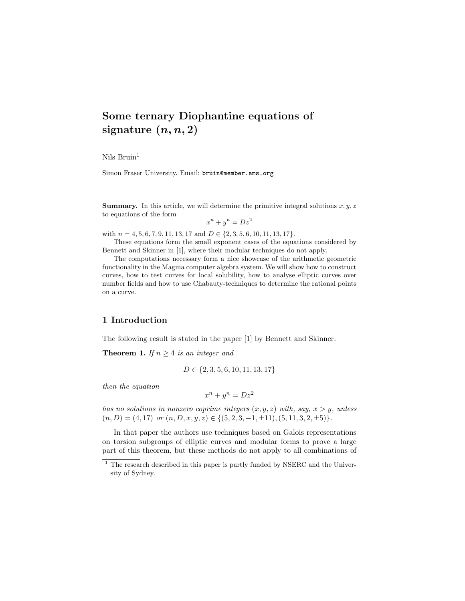# Some ternary Diophantine equations of signature  $(n, n, 2)$

Nils  $Bruin<sup>1</sup>$ 

Simon Fraser University. Email: bruin@member.ams.org

**Summary.** In this article, we will determine the primitive integral solutions  $x, y, z$ to equations of the form

 $x^n + y^n = Dz^2$ 

with  $n = 4, 5, 6, 7, 9, 11, 13, 17$  and  $D \in \{2, 3, 5, 6, 10, 11, 13, 17\}.$ 

These equations form the small exponent cases of the equations considered by Bennett and Skinner in [1], where their modular techniques do not apply.

The computations necessary form a nice showcase of the arithmetic geometric functionality in the Magma computer algebra system. We will show how to construct curves, how to test curves for local solubility, how to analyse elliptic curves over number fields and how to use Chabauty-techniques to determine the rational points on a curve.

## 1 Introduction

The following result is stated in the paper [1] by Bennett and Skinner.

**Theorem 1.** If  $n \geq 4$  is an integer and

$$
D \in \{2, 3, 5, 6, 10, 11, 13, 17\}
$$

then the equation

$$
x^n + y^n = Dz^2
$$

has no solutions in nonzero coprime integers  $(x, y, z)$  with, say,  $x > y$ , unless  $(n, D) = (4, 17)$  or  $(n, D, x, y, z) \in \{(5, 2, 3, -1, \pm 11), (5, 11, 3, 2, \pm 5)\}.$ 

In that paper the authors use techniques based on Galois representations on torsion subgroups of elliptic curves and modular forms to prove a large part of this theorem, but these methods do not apply to all combinations of

 $^{\rm 1}$  The research described in this paper is partly funded by NSERC and the University of Sydney.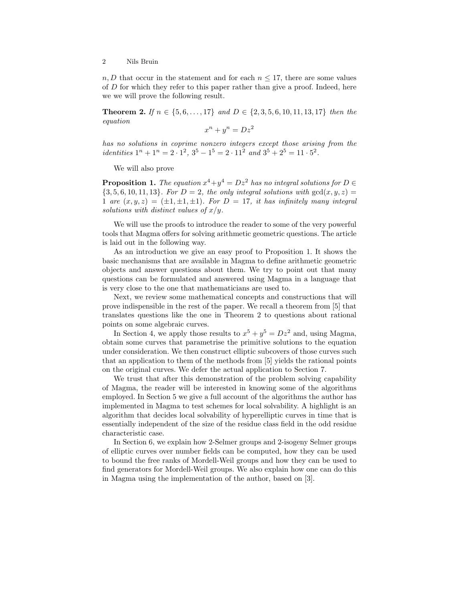$n, D$  that occur in the statement and for each  $n \leq 17$ , there are some values of  $D$  for which they refer to this paper rather than give a proof. Indeed, here we we will prove the following result.

Theorem 2. If  $n \in \{5, 6, \ldots, 17\}$  and  $D \in \{2, 3, 5, 6, 10, 11, 13, 17\}$  then the equation

$$
x^n + y^n = Dz^2
$$

has no solutions in coprime nonzero integers except those arising from the identities  $1^n + 1^n = 2 \cdot 1^2$ ,  $3^5 - 1^5 = 2 \cdot 11^2$  and  $3^5 + 2^5 = 11 \cdot 5^2$ .

We will also prove

**Proposition 1.** The equation  $x^4+y^4=Dz^2$  has no integral solutions for  $D \in$  ${3, 5, 6, 10, 11, 13}$ . For  $D = 2$ , the only integral solutions with  $gcd(x, y, z) =$ 1 are  $(x, y, z) = (\pm 1, \pm 1, \pm 1)$ . For  $D = 17$ , it has infinitely many integral solutions with distinct values of  $x/y$ .

We will use the proofs to introduce the reader to some of the very powerful tools that Magma offers for solving arithmetic geometric questions. The article is laid out in the following way.

As an introduction we give an easy proof to Proposition 1. It shows the basic mechanisms that are available in Magma to define arithmetic geometric objects and answer questions about them. We try to point out that many questions can be formulated and answered using Magma in a language that is very close to the one that mathematicians are used to.

Next, we review some mathematical concepts and constructions that will prove indispensible in the rest of the paper. We recall a theorem from [5] that translates questions like the one in Theorem 2 to questions about rational points on some algebraic curves.

In Section 4, we apply those results to  $x^5 + y^5 = Dz^2$  and, using Magma, obtain some curves that parametrise the primitive solutions to the equation under consideration. We then construct elliptic subcovers of those curves such that an application to them of the methods from [5] yields the rational points on the original curves. We defer the actual application to Section 7.

We trust that after this demonstration of the problem solving capability of Magma, the reader will be interested in knowing some of the algorithms employed. In Section 5 we give a full account of the algorithms the author has implemented in Magma to test schemes for local solvability. A highlight is an algorithm that decides local solvability of hyperelliptic curves in time that is essentially independent of the size of the residue class field in the odd residue characteristic case.

In Section 6, we explain how 2-Selmer groups and 2-isogeny Selmer groups of elliptic curves over number fields can be computed, how they can be used to bound the free ranks of Mordell-Weil groups and how they can be used to find generators for Mordell-Weil groups. We also explain how one can do this in Magma using the implementation of the author, based on [3].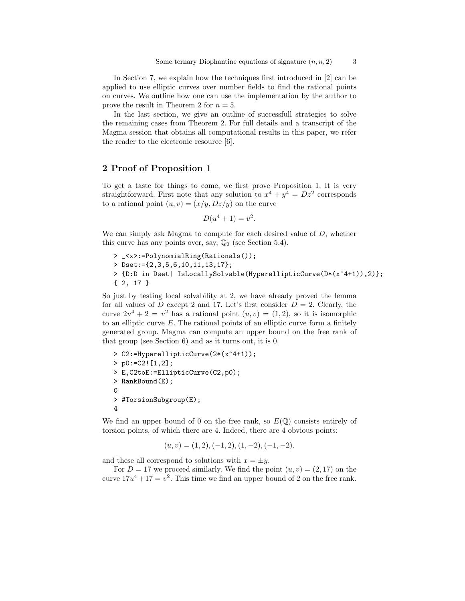In Section 7, we explain how the techniques first introduced in [2] can be applied to use elliptic curves over number fields to find the rational points on curves. We outline how one can use the implementation by the author to prove the result in Theorem 2 for  $n = 5$ .

In the last section, we give an outline of successfull strategies to solve the remaining cases from Theorem 2. For full details and a transcript of the Magma session that obtains all computational results in this paper, we refer the reader to the electronic resource [6].

## 2 Proof of Proposition 1

To get a taste for things to come, we first prove Proposition 1. It is very straightforward. First note that any solution to  $x^4 + y^4 = Dz^2$  corresponds to a rational point  $(u, v) = (x/y, Dz/y)$  on the curve

$$
D(u^4 + 1) = v^2.
$$

We can simply ask Magma to compute for each desired value of  $D$ , whether this curve has any points over, say,  $\mathbb{Q}_2$  (see Section 5.4).

> \_<x>:=PolynomialRing(Rationals()); > Dset:={2,3,5,6,10,11,13,17}; > {D:D in Dset| IsLocallySolvable(HyperellipticCurve(D\*(x^4+1)),2)}; { 2, 17 }

So just by testing local solvability at 2, we have already proved the lemma for all values of D except 2 and 17. Let's first consider  $D = 2$ . Clearly, the curve  $2u^4 + 2 = v^2$  has a rational point  $(u, v) = (1, 2)$ , so it is isomorphic to an elliptic curve  $E$ . The rational points of an elliptic curve form a finitely generated group. Magma can compute an upper bound on the free rank of that group (see Section 6) and as it turns out, it is 0.

```
> C2:=HyperellipticCurve(2*(x^4+1));
> p0:=C2! [1,2];> E,C2toE:=EllipticCurve(C2,p0);
> RankBound(E);
\Omega> #TorsionSubgroup(E);
4
```
We find an upper bound of 0 on the free rank, so  $E(\mathbb{Q})$  consists entirely of torsion points, of which there are 4. Indeed, there are 4 obvious points:

$$
(u, v) = (1, 2), (-1, 2), (1, -2), (-1, -2).
$$

and these all correspond to solutions with  $x = \pm y$ .

For  $D = 17$  we proceed similarly. We find the point  $(u, v) = (2, 17)$  on the curve  $17u^4 + 17 = v^2$ . This time we find an upper bound of 2 on the free rank.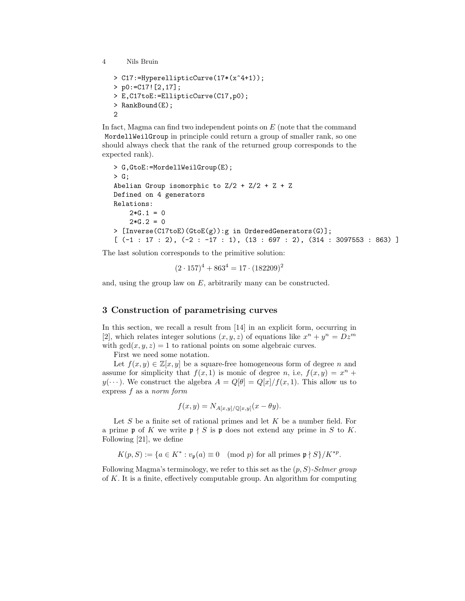```
> C17:=HyperellipticCurve(17*(x^4+1));
> p0:=C17![2,17];
> E,C17toE:=EllipticCurve(C17,p0);
> RankBound(E);
2
```
In fact, Magma can find two independent points on  $E$  (note that the command MordellWeilGroup in principle could return a group of smaller rank, so one should always check that the rank of the returned group corresponds to the expected rank).

```
> G,GtoE:=MordellWeilGroup(E);
> G;
Abelian Group isomorphic to Z/2 + Z/2 + Z + ZDefined on 4 generators
Relations:
    2*G.1 = 02*G.2 = 0> [Inverse(C17toE)(GtoE(g)):g in OrderedGenerators(G)];
[(-1 : 17 : 2), (-2 : -17 : 1), (13 : 697 : 2), (314 : 3097553 : 863)]
```
The last solution corresponds to the primitive solution:

 $(2 \cdot 157)^4 + 863^4 = 17 \cdot (182209)^2$ 

and, using the group law on  $E$ , arbitrarily many can be constructed.

## 3 Construction of parametrising curves

In this section, we recall a result from [14] in an explicit form, occurring in [2], which relates integer solutions  $(x, y, z)$  of equations like  $x^n + y^n = Dz^m$ with  $gcd(x, y, z) = 1$  to rational points on some algebraic curves.

First we need some notation.

Let  $f(x, y) \in \mathbb{Z}[x, y]$  be a square-free homogeneous form of degree n and assume for simplicity that  $f(x, 1)$  is monic of degree n, i.e,  $f(x, y) = x^n +$  $y(\dots)$ . We construct the algebra  $A = Q[\theta] = Q[x]/f(x, 1)$ . This allow us to express f as a norm form

$$
f(x,y) = N_{A[x,y]/\mathbb{Q}[x,y]}(x - \theta y).
$$

Let  $S$  be a finite set of rational primes and let  $K$  be a number field. For a prime p of K we write  $p \nmid S$  is p does not extend any prime in S to K. Following [21], we define

 $K(p, S) := \{a \in K^* : v_{\mathfrak{p}}(a) \equiv 0 \pmod{p} \text{ for all primes } \mathfrak{p} \nmid S\}/K^{*p}.$ 

Following Magma's terminology, we refer to this set as the  $(p, S)$ -Selmer group of K. It is a finite, effectively computable group. An algorithm for computing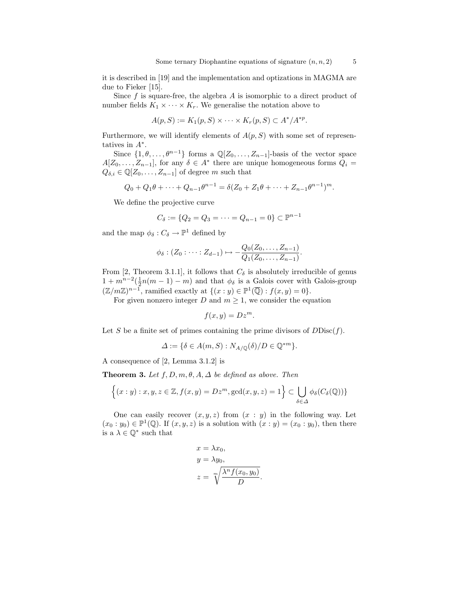it is described in [19] and the implementation and optizations in MAGMA are due to Fieker [15].

Since  $f$  is square-free, the algebra  $A$  is isomorphic to a direct product of number fields  $K_1 \times \cdots \times K_r$ . We generalise the notation above to

$$
A(p, S) := K_1(p, S) \times \cdots \times K_r(p, S) \subset A^* / A^{*p}.
$$

Furthermore, we will identify elements of  $A(p, S)$  with some set of representatives in  $A^*$ .

Since  $\{1, \theta, \ldots, \theta^{n-1}\}\$  forms a  $\mathbb{Q}[Z_0, \ldots, Z_{n-1}]$ -basis of the vector space  $A[Z_0, \ldots, Z_{n-1}]$ , for any  $\delta \in A^*$  there are unique homogeneous forms  $Q_i =$  $Q_{\delta,i} \in \mathbb{Q}[Z_0,\ldots,Z_{n-1}]$  of degree m such that

$$
Q_0 + Q_1\theta + \dots + Q_{n-1}\theta^{n-1} = \delta(Z_0 + Z_1\theta + \dots + Z_{n-1}\theta^{n-1})^m.
$$

We define the projective curve

$$
C_{\delta} := \{Q_2 = Q_3 = \dots = Q_{n-1} = 0\} \subset \mathbb{P}^{n-1}
$$

and the map  $\phi_{\delta}: C_{\delta} \to \mathbb{P}^1$  defined by

$$
\phi_{\delta}: (Z_0: \cdots: Z_{d-1}) \mapsto -\frac{Q_0(Z_0, \ldots, Z_{n-1})}{Q_1(Z_0, \ldots, Z_{n-1})}.
$$

From [2, Theorem 3.1.1], it follows that  $C_{\delta}$  is absolutely irreducible of genus  $1 + m^{n-2}(\frac{1}{2}n(m-1) - m)$  and that  $\phi_{\delta}$  is a Galois cover with Galois-group  $(\mathbb{Z}/m\mathbb{Z})^{n-1}$ , ramified exactly at  $\{(x:y)\in \mathbb{P}^1(\overline{\mathbb{Q}}): f(x,y)=0\}.$ 

For given nonzero integer D and  $m \geq 1$ , we consider the equation

$$
f(x,y) = Dz^m.
$$

Let S be a finite set of primes containing the prime divisors of  $DDisc(f)$ .

$$
\Delta := \{ \delta \in A(m, S) : N_{A/\mathbb{Q}}(\delta) / D \in \mathbb{Q}^{*m} \}.
$$

A consequence of [2, Lemma 3.1.2] is

**Theorem 3.** Let  $f, D, m, \theta, A, \Delta$  be defined as above. Then

$$
\{(x:y): x, y, z \in \mathbb{Z}, f(x,y) = Dz^m, \gcd(x,y,z) = 1\} \subset \bigcup_{\delta \in \Delta} \phi_{\delta}(C_{\delta}(\mathbb{Q}))\}
$$

One can easily recover  $(x, y, z)$  from  $(x : y)$  in the following way. Let  $(x_0:y_0) \in \mathbb{P}^1(\mathbb{Q})$ . If  $(x, y, z)$  is a solution with  $(x:y) = (x_0:y_0)$ , then there is a  $\lambda \in \mathbb{Q}^*$  such that

$$
x = \lambda x_0,
$$
  
\n
$$
y = \lambda y_0,
$$
  
\n
$$
z = \sqrt[m]{\frac{\lambda^n f(x_0, y_0)}{D}}.
$$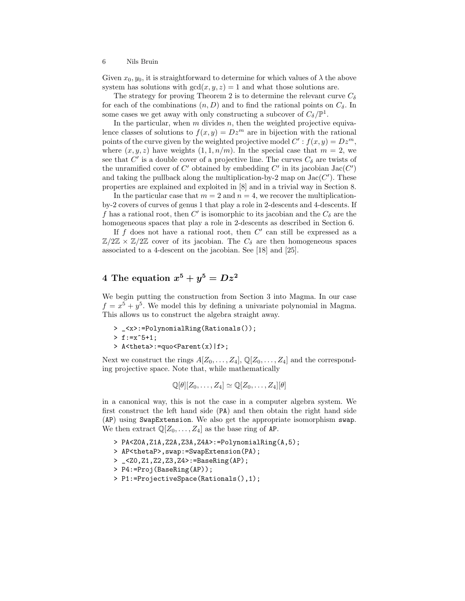Given  $x_0, y_0$ , it is straightforward to determine for which values of  $\lambda$  the above system has solutions with  $gcd(x, y, z) = 1$  and what those solutions are.

The strategy for proving Theorem 2 is to determine the relevant curve  $C_{\delta}$ for each of the combinations  $(n, D)$  and to find the rational points on  $C_{\delta}$ . In some cases we get away with only constructing a subcover of  $C_{\delta}/\mathbb{P}^{1}$ .

In the particular, when  $m$  divides  $n$ , then the weighted projective equivalence classes of solutions to  $f(x, y) = Dz^m$  are in bijection with the rational points of the curve given by the weighted projective model  $C': f(x, y) = Dz^m$ , where  $(x, y, z)$  have weights  $(1, 1, n/m)$ . In the special case that  $m = 2$ , we see that  $C'$  is a double cover of a projective line. The curves  $C_{\delta}$  are twists of the unramified cover of  $C'$  obtained by embedding  $C'$  in its jacobian  $Jac(C')$ and taking the pullback along the multiplication-by-2 map on  $Jac(C')$ . These properties are explained and exploited in [8] and in a trivial way in Section 8.

In the particular case that  $m = 2$  and  $n = 4$ , we recover the multiplicationby-2 covers of curves of genus 1 that play a role in 2-descents and 4-descents. If f has a rational root, then C' is isomorphic to its jacobian and the  $C_{\delta}$  are the homogeneous spaces that play a role in 2-descents as described in Section 6.

If  $f$  does not have a rational root, then  $C'$  can still be expressed as a  $\mathbb{Z}/2\mathbb{Z} \times \mathbb{Z}/2\mathbb{Z}$  cover of its jacobian. The  $C_{\delta}$  are then homogeneous spaces associated to a 4-descent on the jacobian. See [18] and [25].

## $4$  The equation  $x^5+y^5=Dz^2$

We begin putting the construction from Section 3 into Magma. In our case  $f = x^5 + y^5$ . We model this by defining a univariate polynomial in Magma. This allows us to construct the algebra straight away.

> \_<x>:=PolynomialRing(Rationals()); > f:=x^5+1; > A<theta>:=quo<Parent(x)|f>;

Next we construct the rings  $A[Z_0, \ldots, Z_4], \mathbb{Q}[Z_0, \ldots, Z_4]$  and the corresponding projective space. Note that, while mathematically

$$
\mathbb{Q}[\theta][Z_0,\ldots,Z_4] \simeq \mathbb{Q}[Z_0,\ldots,Z_4][\theta]
$$

in a canonical way, this is not the case in a computer algebra system. We first construct the left hand side (PA) and then obtain the right hand side (AP) using SwapExtension. We also get the appropriate isomorphism swap. We then extract  $\mathbb{Q}[Z_0,\ldots,Z_4]$  as the base ring of AP.

- > PA<Z0A,Z1A,Z2A,Z3A,Z4A>:=PolynomialRing(A,5);
- > AP<thetaP>,swap:=SwapExtension(PA);
- > \_<Z0,Z1,Z2,Z3,Z4>:=BaseRing(AP);
- > P4:=Proj(BaseRing(AP));
- > P1:=ProjectiveSpace(Rationals(),1);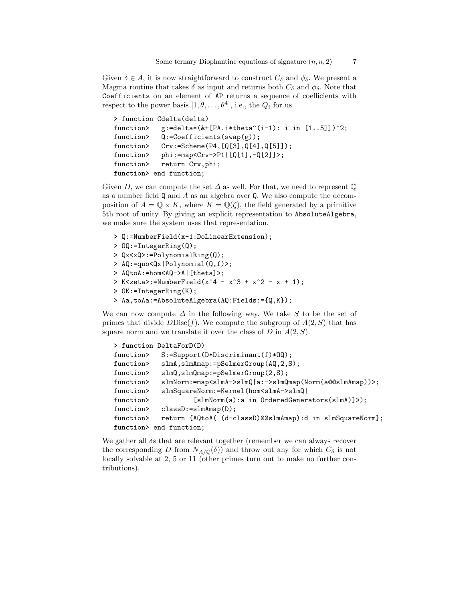Given  $\delta \in A$ , it is now straightforward to construct  $C_{\delta}$  and  $\phi_{\delta}$ . We present a Magma routine that takes  $\delta$  as input and returns both  $C_{\delta}$  and  $\phi_{\delta}$ . Note that Coefficients on an element of AP returns a sequence of coefficients with respect to the power basis  $[1, \theta, \ldots, \theta^4]$ , i.e., the  $Q_i$  for us.

```
> function Cdelta(delta)
function> g:=delta*(&+[PA.i*theta^(i-1): i in [1..5]])^2;
function> Q:=Coefficients(swap(g));
function> Crv:=Scheme(P4,[Q[3],Q[4],Q[5]]);
function> phi:=map<Crv->P1|[Q[1],-Q[2]]>;
function> return Crv, phi;
function> end function;
```
Given D, we can compute the set  $\Delta$  as well. For that, we need to represent  $\mathbb{O}$ as a number field  $\mathbf Q$  and  $A$  as an algebra over  $\mathbf Q$ . We also compute the decomposition of  $A = \mathbb{Q} \times K$ , where  $K = \mathbb{Q}(\zeta)$ , the field generated by a primitive 5th root of unity. By giving an explicit representation to AbsoluteAlgebra, we make sure the system uses that representation.

- > Q:=NumberField(x-1:DoLinearExtension);
- > OQ:=IntegerRing(Q);
- > Qx<xQ>:=PolynomialRing(Q);
- > AQ:=quo<Qx|Polynomial(Q,f)>;
- > AQtoA:=hom<AQ->A|[theta]>;
- > K<zeta>:=NumberField(x^4 x^3 + x^2 x + 1);
- > OK:=IntegerRing(K);
- > Aa,toAa:=AbsoluteAlgebra(AQ:Fields:={Q,K});

We can now compute  $\Delta$  in the following way. We take S to be the set of primes that divide  $DDisc(f)$ . We compute the subgroup of  $A(2, S)$  that has square norm and we translate it over the class of  $D$  in  $A(2, S)$ .

```
> function DeltaForD(D)
function> S:=Support(D*Discriminant(f)*00);
function> slmA,slmAmap:=pSelmerGroup(AQ,2,S);
function> slmQ, slmQmap:=pSelmerGroup(2,S);
function> slmNorm:=map<slmA->slmQ|a:->slmQmap(Norm(a@@slmAmap))>;
function> slmSquareNorm:=Kernel(hom<slmA->slmQ|
function> [slmNorm(a):a in OrderedGenerators(slmA)]>);
function> classD:=slmAmap(D);
function> return {AQtoA( (d-classD)@@slmAmap):d in slmSquareNorm};
function> end function;
```
We gather all δs that are relevant together (remember we can always recover the corresponding D from  $N_{A/\mathbb{Q}}(\delta)$  and throw out any for which  $C_{\delta}$  is not locally solvable at 2, 5 or 11 (other primes turn out to make no further contributions).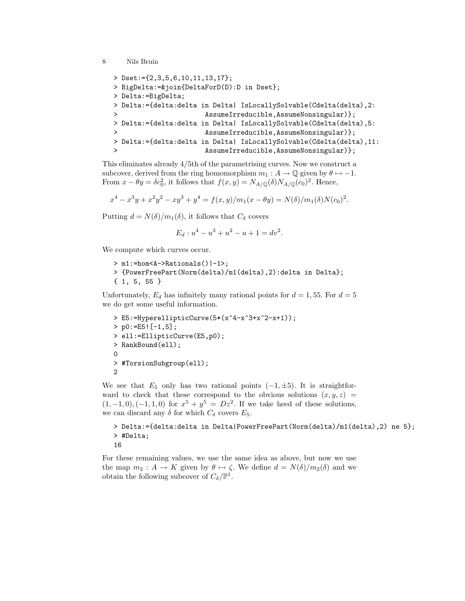```
> Dset:={2,3,5,6,10,11,13,17};
> BigDelta:=&join{DeltaForD(D):D in Dset};
> Delta:=BigDelta;
> Delta:={delta:delta in Delta| IsLocallySolvable(Cdelta(delta),2:
> AssumeIrreducible, AssumeNonsingular) };
> Delta:={delta:delta in Delta| IsLocallySolvable(Cdelta(delta),5:
                     > AssumeIrreducible,AssumeNonsingular)};
> Delta:={delta:delta in Delta| IsLocallySolvable(Cdelta(delta),11:
> AssumeIrreducible, AssumeNonsingular) };
```
This eliminates already 4/5th of the parametrising curves. Now we construct a subcover, derived from the ring homomorphism  $m_1 : A \to \mathbb{Q}$  given by  $\theta \mapsto -1$ . From  $x - \theta y = \delta c_0^2$ , it follows that  $f(x, y) = N_{A/\mathbb{Q}}(\delta) N_{A/\mathbb{Q}}(c_0)^2$ . Hence,

$$
x^{4}-x^{3}y+x^{2}y^{2}-xy^{3}+y^{4}=f(x,y)/m_{1}(x-\theta y)=N(\delta)/m_{1}(\delta)N(c_{0})^{2}.
$$

Putting  $d = N(\delta)/m_1(\delta)$ , it follows that  $C_{\delta}$  covers

$$
E_d: u^4 - u^3 + u^2 - u + 1 = dv^2.
$$

We compute which curves occur.

```
> m1:=hom<A->Rationals()|-1>;
```

```
> {PowerFreePart(Norm(delta)/m1(delta),2):delta in Delta};
{ 1, 5, 55 }
```
Unfortunately,  $E_d$  has infinitely many rational points for  $d = 1, 55$ . For  $d = 5$ we do get some useful information.

```
> E5:=HyperellipticCurve(5*(x^4-x^3+x^2-x+1));
> p0:=E5![-1,5];
> ell:=EllipticCurve(E5,p0);
> RankBound(ell);
\Omega> #TorsionSubgroup(ell);
2
```
We see that  $E_5$  only has two rational points  $(-1, \pm 5)$ . It is straightforward to check that these correspond to the obvious solutions  $(x, y, z)$  $(1, -1, 0), (-1, 1, 0)$  for  $x^5 + y^5 = Dz^2$ . If we take heed of these solutions, we can discard any  $\delta$  for which  $C_{\delta}$  covers  $E_5$ .

```
> Delta:={delta:delta in Delta|PowerFreePart(Norm(delta)/m1(delta),2) ne 5};
> #Delta;
16
```
For these remaining values, we use the same idea as above, but now we use the map  $m_2 : A \to K$  given by  $\theta \mapsto \zeta$ . We define  $d = N(\delta)/m_2(\delta)$  and we obtain the following subcover of  $C_{\delta}/\mathbb{P}^{1}$ .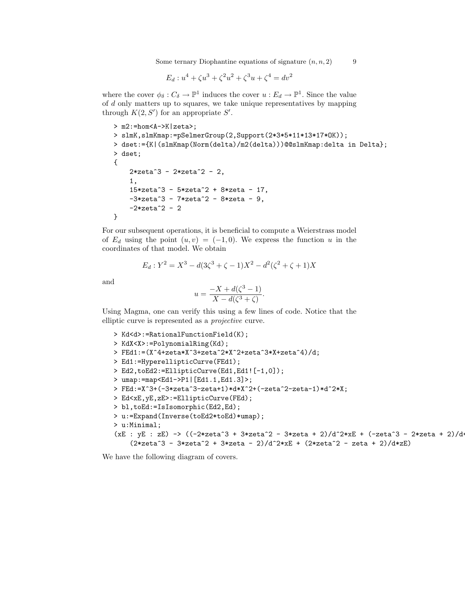Some ternary Diophantine equations of signature  $(n, n, 2)$  9

$$
E_d: u^4 + \zeta u^3 + \zeta^2 u^2 + \zeta^3 u + \zeta^4 = dv^2
$$

where the cover  $\phi_{\delta}: C_{\delta} \to \mathbb{P}^1$  induces the cover  $u: E_d \to \mathbb{P}^1$ . Since the value of d only matters up to squares, we take unique representatives by mapping through  $K(2, S')$  for an appropriate  $S'$ .

```
> m2:=hom<A->K|zeta>;
> slmK,slmKmap:=pSelmerGroup(2,Support(2*3*5*11*13*17*OK));
> dset:={K|(slmKmap(Norm(delta)/m2(delta)))@@slmKmap:delta in Delta};
> dset;
{
    2*zeta^3 - 2*zeta^2 - 2,
    1,
    15*zeta^3 - 5*zeta^2 + 8*zeta - 17,
    -3*zeta^3 - 7*zeta^2 - 8*zeta - 9,
    -2*zeta^2 - 2}
```
For our subsequent operations, it is beneficial to compute a Weierstrass model of  $E_d$  using the point  $(u, v) = (-1, 0)$ . We express the function u in the coordinates of that model. We obtain

$$
E_d: Y^2 = X^3 - d(3\zeta^3 + \zeta - 1)X^2 - d^2(\zeta^2 + \zeta + 1)X
$$

and

$$
u = \frac{-X + d(\zeta^3 - 1)}{X - d(\zeta^3 + \zeta)}.
$$

Using Magma, one can verify this using a few lines of code. Notice that the elliptic curve is represented as a projective curve.

```
> Kd<d>:=RationalFunctionField(K);
> KdX<X>:=PolynomialRing(Kd);
> FEd1:=(X^4+zeta*X^3+zeta^2*X^2+zeta^3*X+zeta^4)/d;
> Ed1:=HyperellipticCurve(FEd1);
> Ed2,toEd2:=EllipticCurve(Ed1,Ed1![-1,0]);
> umap:=map<Ed1->P1|[Ed1.1,Ed1.3]>;
> FEd:=X^3+(-3*zeta^3-zeta+1)*d*X^2+(-zeta^2-zeta-1)*d^2*X;
> Ed<xE,yE,zE>:=EllipticCurve(FEd);
> bl,toEd:=IsIsomorphic(Ed2,Ed);
> u:=Expand(Inverse(toEd2*toEd)*umap);
> u:Minimal;
(xE : yE : zE) -> ((-2*zeta^3 + 3*zeta^2 - 3*zeta + 2)/d^2*xE + (-zeta^3 - 2*zeta + 2)/d^2)(2*zeta^3 - 3*zeta^2 + 3*zeta - 2)/d^2*xE + (2*zeta^2 - zeta + 2)/d*zE)
```
We have the following diagram of covers.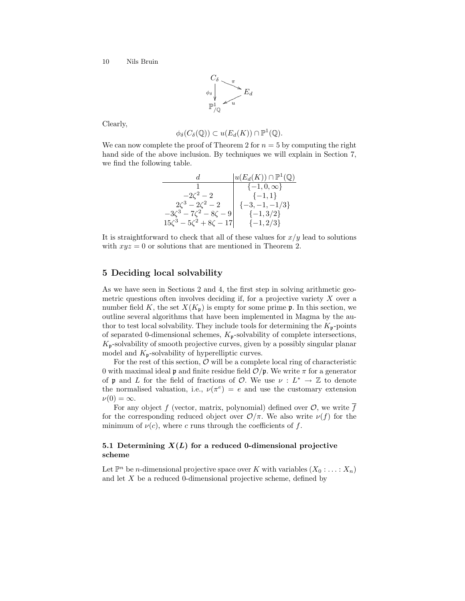$$
C_{\delta} \longrightarrow_{\phi_{\delta}} \mathcal{E}_{d}
$$
  

$$
\mathbb{P}_{/\mathbb{Q}}^{1} \longrightarrow_{\mathcal{U}} E_{d}
$$

Clearly,

$$
\phi_{\delta}(C_{\delta}(\mathbb{Q})) \subset u(E_d(K)) \cap \mathbb{P}^1(\mathbb{Q}).
$$

We can now complete the proof of Theorem 2 for  $n = 5$  by computing the right hand side of the above inclusion. By techniques we will explain in Section 7, we find the following table.

| d                                    | $ u(E_d(K)) \cap \mathbb{P}^1(\mathbb{Q}) $ |
|--------------------------------------|---------------------------------------------|
|                                      | $\{-1,0,\infty\}$                           |
| $-2\zeta^2-2$                        | $\{-1,1\}$                                  |
| $2\zeta^3 - 2\zeta^2 - 2$            | $\{-3,-1,-1/3\}$                            |
| $-3\zeta^3 - 7\zeta^2 - 8\zeta - 9$  | $\{-1,3/2\}$                                |
| $15\zeta^3 - 5\zeta^2 + 8\zeta - 17$ | $\{-1,2/3\}$                                |

It is straightforward to check that all of these values for  $x/y$  lead to solutions with  $xyz = 0$  or solutions that are mentioned in Theorem 2.

## 5 Deciding local solvability

As we have seen in Sections 2 and 4, the first step in solving arithmetic geometric questions often involves deciding if, for a projective variety X over a number field K, the set  $X(K_p)$  is empty for some prime p. In this section, we outline several algorithms that have been implemented in Magma by the author to test local solvability. They include tools for determining the  $K_{\mathfrak{p}}$ -points of separated 0-dimensional schemes,  $K_p$ -solvability of complete intersections,  $K_{\mathfrak{p}}$ -solvability of smooth projective curves, given by a possibly singular planar model and  $K_{\mathfrak{p}}$ -solvability of hyperelliptic curves.

For the rest of this section,  $\mathcal{O}$  will be a complete local ring of characteristic 0 with maximal ideal **p** and finite residue field  $\mathcal{O}/\mathfrak{p}$ . We write  $\pi$  for a generator of p and L for the field of fractions of  $\mathcal{O}$ . We use  $\nu : L^* \to \mathbb{Z}$  to denote the normalised valuation, i.e.,  $\nu(\pi^e) = e$  and use the customary extension  $\nu(0) = \infty$ .

For any object f (vector, matrix, polynomial) defined over  $\mathcal{O}$ , we write  $\overline{f}$ for the corresponding reduced object over  $\mathcal{O}/\pi$ . We also write  $\nu(f)$  for the minimum of  $\nu(c)$ , where c runs through the coefficients of f.

## 5.1 Determining  $X(L)$  for a reduced 0-dimensional projective scheme

Let  $\mathbb{P}^n$  be *n*-dimensional projective space over K with variables  $(X_0 : \ldots : X_n)$ and let X be a reduced 0-dimensional projective scheme, defined by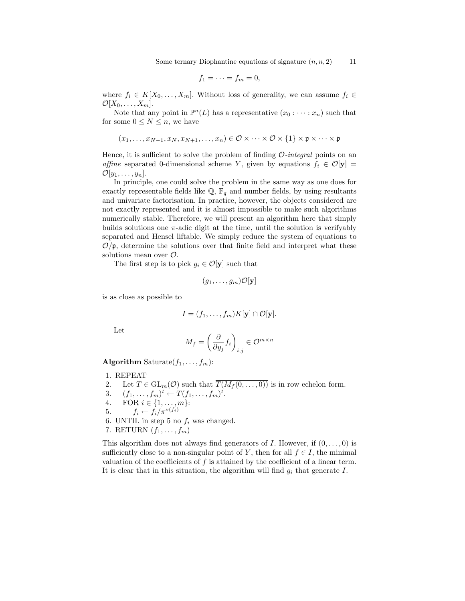$$
f_1=\cdots=f_m=0,
$$

where  $f_i \in K[X_0, \ldots, X_m]$ . Without loss of generality, we can assume  $f_i \in$  $\mathcal{O}[X_0,\ldots,X_m].$ 

Note that any point in  $\mathbb{P}^n(L)$  has a representative  $(x_0 : \cdots : x_n)$  such that for some  $0 \leq N \leq n$ , we have

$$
(x_1, \ldots, x_{N-1}, x_N, x_{N+1}, \ldots, x_n) \in \mathcal{O} \times \cdots \times \mathcal{O} \times \{1\} \times \mathfrak{p} \times \cdots \times \mathfrak{p}
$$

Hence, it is sufficient to solve the problem of finding  $\mathcal{O}\text{-}integral$  points on an affine separated 0-dimensional scheme Y, given by equations  $f_i \in \mathcal{O}[\mathbf{y}] =$  $\mathcal{O}[y_1, \ldots, y_n].$ 

In principle, one could solve the problem in the same way as one does for exactly representable fields like  $\mathbb{Q}, \mathbb{F}_q$  and number fields, by using resultants and univariate factorisation. In practice, however, the objects considered are not exactly represented and it is almost impossible to make such algorithms numerically stable. Therefore, we will present an algorithm here that simply builds solutions one  $\pi$ -adic digit at the time, until the solution is verifyably separated and Hensel liftable. We simply reduce the system of equations to  $\mathcal{O}/\mathfrak{p}$ , determine the solutions over that finite field and interpret what these solutions mean over O.

The first step is to pick  $g_i \in \mathcal{O}[\mathbf{y}]$  such that

$$
(g_1,\ldots,g_m){\cal O}[{\bf y}]
$$

is as close as possible to

$$
I = (f_1, \ldots, f_m)K[\mathbf{y}] \cap \mathcal{O}[\mathbf{y}].
$$

Let

$$
M_f=\left(\frac{\partial}{\partial y_j}f_i\right)_{i,j}\in\mathcal{O}^{m\times n}
$$

Algorithm Saturate $(f_1, \ldots, f_m)$ :

- 1. REPEAT
- 2. Let  $T \in GL_m(\mathcal{O})$  such that  $\overline{T(M_f(0,\ldots,0))}$  is in row echelon form.
- 3.  $(f_1, ..., f_m)^t \leftarrow T(f_1, ..., f_m)^t$ .
- 4. FOR  $i \in \{1, ..., m\}$ :
- 5.  $f_i \leftarrow f_i / \pi^{\nu(f_i)}$
- 6. UNTIL in step 5 no  $f_i$  was changed.
- 7. RETURN  $(f_1, \ldots, f_m)$

This algorithm does not always find generators of I. However, if  $(0, \ldots, 0)$  is sufficiently close to a non-singular point of Y, then for all  $f \in I$ , the minimal valuation of the coefficients of  $f$  is attained by the coefficient of a linear term. It is clear that in this situation, the algorithm will find  $g_i$  that generate  $I$ .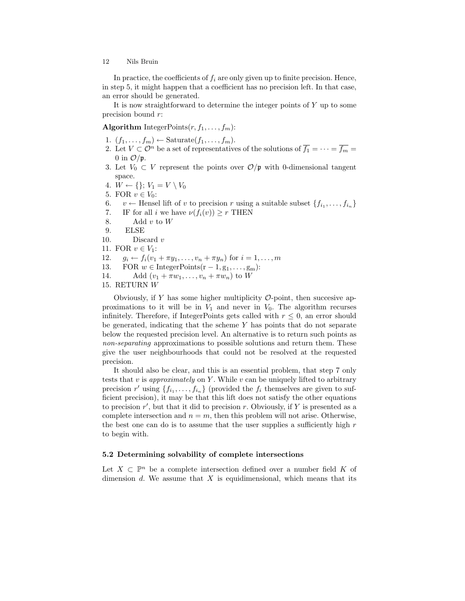In practice, the coefficients of  $f_i$  are only given up to finite precision. Hence, in step 5, it might happen that a coefficient has no precision left. In that case, an error should be generated.

It is now straightforward to determine the integer points of Y up to some precision bound  $r$ :

**Algorithm** IntegerPoints $(r, f_1, \ldots, f_m)$ :

- 1.  $(f_1, \ldots, f_m) \leftarrow$  Saturate $(f_1, \ldots, f_m)$ .
- 2. Let  $V \subset \mathcal{O}^n$  be a set of representatives of the solutions of  $\overline{f_1} = \cdots = \overline{f_m} =$ 0 in  $\mathcal{O}/\mathfrak{p}$ .
- 3. Let  $V_0 \subset V$  represent the points over  $\mathcal{O}/\mathfrak{p}$  with 0-dimensional tangent space.
- 4.  $W \leftarrow \{\}; V_1 = V \setminus V_0$
- 5. FOR  $v \in V_0$ :
- 6.  $v \leftarrow$  Hensel lift of v to precision r using a suitable subset  $\{f_{i_1}, \ldots, f_{i_n}\}$
- 7. IF for all i we have  $\nu(f_i(v)) \geq r$  THEN
- 8. Add  $v$  to  $W$
- 9. ELSE
- 10. Discard  $v$
- 11. FOR  $v \in V_1$ :
- 12.  $g_i \leftarrow f_i(v_1 + \pi y_1, \dots, v_n + \pi y_n)$  for  $i = 1, \dots, m$
- 13. FOR  $w \in \text{IntegerPoints}(r-1, g_1, \ldots, g_m)$ :
- 14. Add  $(v_1 + \pi w_1, \ldots, v_n + \pi w_n)$  to W
- 15. RETURN W

Obviously, if Y has some higher multiplicity  $\mathcal{O}\text{-point}$ , then succesive approximations to it will be in  $V_1$  and never in  $V_0$ . The algorithm recurses infinitely. Therefore, if IntegerPoints gets called with  $r \leq 0$ , an error should be generated, indicating that the scheme Y has points that do not separate below the requested precision level. An alternative is to return such points as non-separating approximations to possible solutions and return them. These give the user neighbourhoods that could not be resolved at the requested precision.

It should also be clear, and this is an essential problem, that step 7 only tests that  $v$  is approximately on Y. While  $v$  can be uniquely lifted to arbitrary precision r' using  $\{f_{i_1}, \ldots, f_{i_n}\}$  (provided the  $f_i$  themselves are given to sufficient precision), it may be that this lift does not satisfy the other equations to precision  $r'$ , but that it did to precision r. Obviously, if Y is presented as a complete intersection and  $n = m$ , then this problem will not arise. Otherwise, the best one can do is to assume that the user supplies a sufficiently high  $r$ to begin with.

#### 5.2 Determining solvability of complete intersections

Let  $X \subset \mathbb{P}^n$  be a complete intersection defined over a number field K of dimension d. We assume that  $X$  is equidimensional, which means that its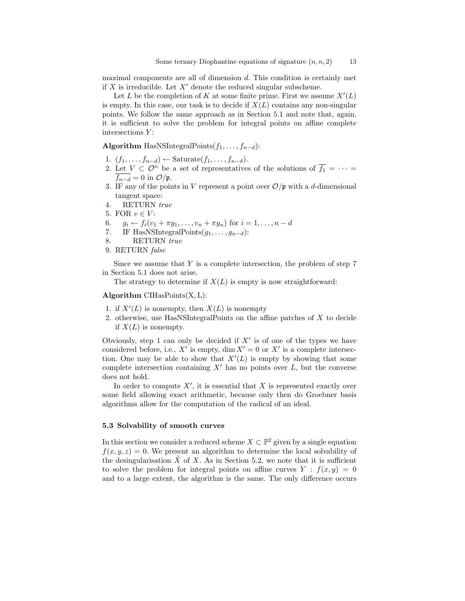maximal components are all of dimension d. This condition is certainly met if  $X$  is irreducible. Let  $X'$  denote the reduced singular subscheme.

Let L be the completion of K at some finite prime. First we assume  $X'(L)$ is empty. In this case, our task is to decide if  $X(L)$  contains any non-singular points. We follow the same approach as in Section 5.1 and note that, again, it is sufficient to solve the problem for integral points on affine complete intersections  $Y$ :

Algorithm HasNSIntegralPoints $(f_1, \ldots, f_{n-d})$ :

- 1.  $(f_1, \ldots, f_{n-d}) \leftarrow \text{Saturate}(f_1, \ldots, f_{n-d}).$
- 2. Let  $V \subset \mathcal{O}^n$  be a set of representatives of the solutions of  $\overline{f_1} = \cdots =$  $f_{n-d} = 0$  in  $\mathcal{O}/\mathfrak{p}$ .
- 3. IF any of the points in V represent a point over  $\mathcal{O}/\mathfrak{p}$  with a d-dimensional tangent space:
- 4. RETURN true
- 5. FOR  $v \in V$ :
- 6.  $g_i \leftarrow f_i(v_1 + \pi y_1, \dots, v_n + \pi y_n)$  for  $i = 1, \dots, n d$
- 7. IF HasNSIntegralPoints $(g_1, \ldots, g_{n-d})$ :
- 8. RETURN true
- 9. RETURN false

Since we assume that  $Y$  is a complete intersection, the problem of step  $7$ in Section 5.1 does not arise.

The strategy to determine if  $X(L)$  is empty is now straightforward:

## Algorithm  $\text{CIHasPoints}(X, L)$ :

- 1. if  $X'(L)$  is nonempty, then  $X(L)$  is nonempty
- 2. otherwise, use HasNSIntegralPoints on the affine patches of X to decide if  $X(L)$  is nonempty.

Obviously, step 1 can only be decided if  $X'$  is of one of the types we have considered before, i.e.,  $X'$  is empty, dim  $X' = 0$  or  $X'$  is a complete intersection. One may be able to show that  $X'(L)$  is empty by showing that some complete intersection containing  $X'$  has no points over  $L$ , but the converse does not hold.

In order to compute  $X'$ , it is essential that X is represented exactly over some field allowing exact arithmetic, because only then do Groebner basis algorithms allow for the computation of the radical of an ideal.

## 5.3 Solvability of smooth curves

In this section we consider a reduced scheme  $X \subset \mathbb{P}^2$  given by a single equation  $f(x, y, z) = 0$ . We present an algorithm to determine the local solvability of the desingularisation  $\tilde{X}$  of X. As in Section 5.2, we note that it is sufficient to solve the problem for integral points on affine curves  $Y : f(x, y) = 0$ and to a large extent, the algorithm is the same. The only difference occurs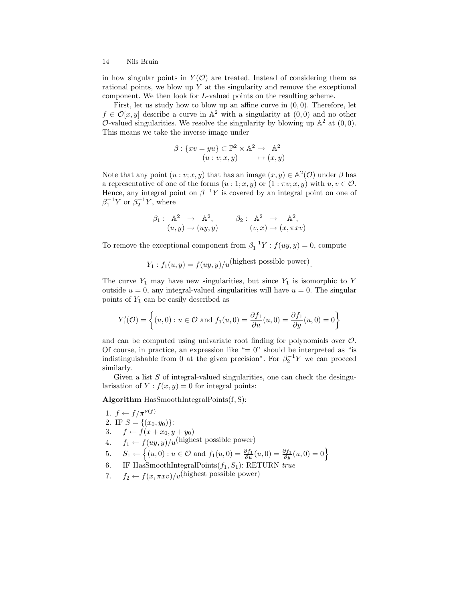in how singular points in  $Y(\mathcal{O})$  are treated. Instead of considering them as rational points, we blow up  $Y$  at the singularity and remove the exceptional component. We then look for L-valued points on the resulting scheme.

First, let us study how to blow up an affine curve in  $(0, 0)$ . Therefore, let  $f \in \mathcal{O}[x, y]$  describe a curve in  $\mathbb{A}^2$  with a singularity at  $(0, 0)$  and no other O-valued singularities. We resolve the singularity by blowing up  $\mathbb{A}^2$  at  $(0,0)$ . This means we take the inverse image under

$$
\beta: \{xv = yu\} \subset \mathbb{P}^2 \times \mathbb{A}^2 \to \mathbb{A}^2
$$

$$
(u:v;x,y) \mapsto (x,y)
$$

Note that any point  $(u : v; x, y)$  that has an image  $(x, y) \in \mathbb{A}^2(\mathcal{O})$  under  $\beta$  has a representative of one of the forms  $(u:1;x,y)$  or  $(1:\pi v;x,y)$  with  $u, v \in \mathcal{O}$ . Hence, any integral point on  $\beta^{-1}Y$  is covered by an integral point on one of  $\beta_1^{-1}Y$  or  $\beta_2^{-1}Y$ , where

$$
\beta_1: \mathbb{A}^2 \to \mathbb{A}^2, \qquad \beta_2: \mathbb{A}^2 \to \mathbb{A}^2, (u, y) \to (uy, y) \qquad (v, x) \to (x, \pi x v)
$$

To remove the exceptional component from  $\beta_1^{-1}Y : f(uy, y) = 0$ , compute

$$
Y_1: f_1(u, y) = f(uy, y)/u
$$
(highest possible power).

The curve  $Y_1$  may have new singularities, but since  $Y_1$  is isomorphic to Y outside  $u = 0$ , any integral-valued singularities will have  $u = 0$ . The singular points of  $Y_1$  can be easily described as

$$
Y_1'(\mathcal{O}) = \left\{ (u,0) : u \in \mathcal{O} \text{ and } f_1(u,0) = \frac{\partial f_1}{\partial u}(u,0) = \frac{\partial f_1}{\partial y}(u,0) = 0 \right\}
$$

and can be computed using univariate root finding for polynomials over O. Of course, in practice, an expression like  $"= 0"$  should be interpreted as "is indistinguishable from 0 at the given precision". For  $\beta_2^{-1}Y$  we can proceed similarly.

Given a list  $S$  of integral-valued singularities, one can check the desingularisation of  $Y: f(x, y) = 0$  for integral points:

Algorithm HasSmoothIntegralPoints(f, S):

\n- 1. 
$$
f \leftarrow f/\pi^{\nu(f)}
$$
\n- 2. IF  $S = \{(x_0, y_0)\}$ :
\n- 3.  $f \leftarrow f(x + x_0, y + y_0)$
\n- 4.  $f_1 \leftarrow f(uy, y)/u$  (highest possible power)
\n- 5.  $S_1 \leftarrow \{(u, 0) : u \in \mathcal{O} \text{ and } f_1(u, 0) = \frac{\partial f_1}{\partial u}(u, 0) = \frac{\partial f_1}{\partial y}(u, 0) = 0\}$
\n- 6. IF HasSmoothIntegralPoints  $(f_1, S_1)$ : RETURN *true*
\n

7.  $f_2 \leftarrow f(x, \pi x v)/v(\text{highest possible power})$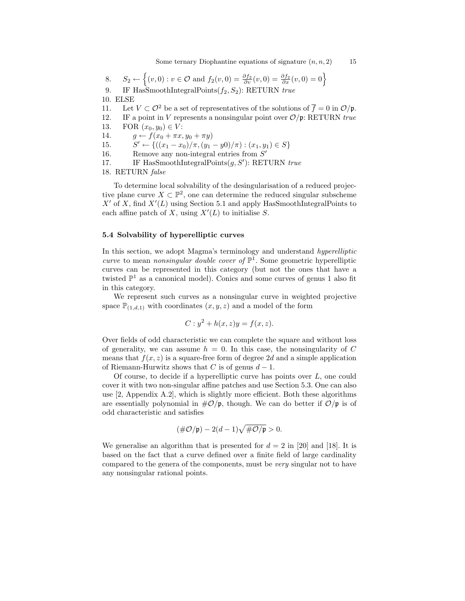Some ternary Diophantine equations of signature  $(n, n, 2)$  15

8. 
$$
S_2 \leftarrow \{(v, 0) : v \in \mathcal{O} \text{ and } f_2(v, 0) = \frac{\partial f_2}{\partial v}(v, 0) = \frac{\partial f_2}{\partial x}(v, 0) = 0\}
$$

9. IF HasSmoothIntegralPoints $(f_2, S_2)$ : RETURN true

10. ELSE

- 11. Let  $V \subset \mathcal{O}^2$  be a set of representatives of the solutions of  $\overline{f} = 0$  in  $\mathcal{O}/\mathfrak{p}$ .
- 12. IF a point in V represents a nonsingular point over  $\mathcal{O}/\mathfrak{p}$ : RETURN true
- 13. FOR  $(x_0, y_0) \in V$ :

14.  $g \leftarrow f(x_0 + \pi x, y_0 + \pi y)$ 

15.  $S' \leftarrow \{((x_1 - x_0)/\pi, (y_1 - y_0)/\pi) : (x_1, y_1) \in S\}$ 

- 16. Remove any non-integral entries from  $S'$
- 17. IF HasSmoothIntegralPoints $(g, S')$ : RETURN true

18. RETURN false

To determine local solvability of the desingularisation of a reduced projective plane curve  $X \subset \mathbb{P}^2$ , one can determine the reduced singular subscheme  $X'$  of X, find  $X'(L)$  using Section 5.1 and apply HasSmoothIntegralPoints to each affine patch of X, using  $X'(L)$  to initialise S.

## 5.4 Solvability of hyperelliptic curves

In this section, we adopt Magma's terminology and understand *hyperelliptic* curve to mean nonsingular double cover of  $\mathbb{P}^1$ . Some geometric hyperelliptic curves can be represented in this category (but not the ones that have a twisted  $\mathbb{P}^1$  as a canonical model). Conics and some curves of genus 1 also fit in this category.

We represent such curves as a nonsingular curve in weighted projective space  $\mathbb{P}_{(1,d,1)}$  with coordinates  $(x, y, z)$  and a model of the form

$$
C: y^2 + h(x, z)y = f(x, z).
$$

Over fields of odd characteristic we can complete the square and without loss of generality, we can assume  $h = 0$ . In this case, the nonsingularity of C means that  $f(x, z)$  is a square-free form of degree 2d and a simple application of Riemann-Hurwitz shows that C is of genus  $d-1$ .

Of course, to decide if a hyperelliptic curve has points over  $L$ , one could cover it with two non-singular affine patches and use Section 5.3. One can also use [2, Appendix A.2], which is slightly more efficient. Both these algorithms are essentially polynomial in  $\#\mathcal{O}/\mathfrak{p}$ , though. We can do better if  $\mathcal{O}/\mathfrak{p}$  is of odd characteristic and satisfies

$$
(\#\mathcal{O}/\mathfrak{p}) - 2(d-1)\sqrt{\#\mathcal{O}/\mathfrak{p}} > 0.
$$

We generalise an algorithm that is presented for  $d = 2$  in [20] and [18]. It is based on the fact that a curve defined over a finite field of large cardinality compared to the genera of the components, must be very singular not to have any nonsingular rational points.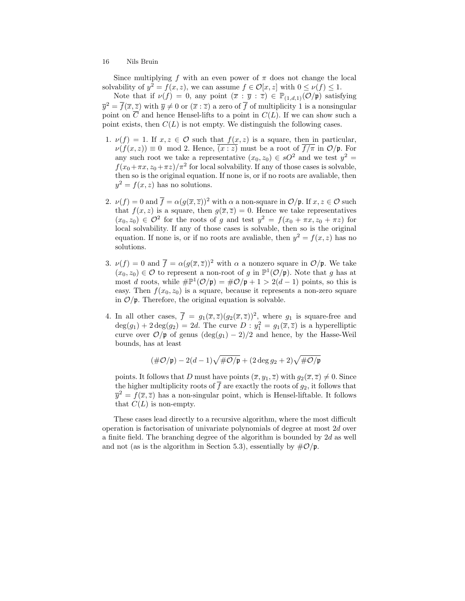Since multiplying f with an even power of  $\pi$  does not change the local solvability of  $y^2 = f(x, z)$ , we can assume  $f \in \mathcal{O}[x, z]$  with  $0 \le \nu(f) \le 1$ .

Note that if  $\nu(f) = 0$ , any point  $(\overline{x} : \overline{y} : \overline{z}) \in \mathbb{P}_{(1,d,1)}(\mathcal{O}/\mathfrak{p})$  satisfying  $\overline{y}^2 = \overline{f}(\overline{x}, \overline{z})$  with  $\overline{y} \neq 0$  or  $(\overline{x} : \overline{z})$  a zero of  $\overline{f}$  of multiplicity 1 is a nonsingular point on  $\overline{C}$  and hence Hensel-lifts to a point in  $C(L)$ . If we can show such a point exists, then  $C(L)$  is not empty. We distinguish the following cases.

- 1.  $\nu(f) = 1$ . If  $x, z \in \mathcal{O}$  such that  $f(x, z)$  is a square, then in particular,  $\nu(f(x, z)) \equiv 0 \mod 2$ . Hence,  $\overline{(x : z)}$  must be a root of  $\overline{f/\pi}$  in  $\mathcal{O}/\mathfrak{p}$ . For any such root we take a representative  $(x_0, z_0) \in sO^2$  and we test  $y^2 =$  $f(x_0 + \pi x, z_0 + \pi z)/\pi^2$  for local solvability. If any of those cases is solvable, then so is the original equation. If none is, or if no roots are avaliable, then  $y^2 = f(x, z)$  has no solutions.
- 2.  $\nu(f) = 0$  and  $\overline{f} = \alpha(g(\overline{x}, \overline{z}))^2$  with  $\alpha$  a non-square in  $\mathcal{O}/\mathfrak{p}$ . If  $x, z \in \mathcal{O}$  such that  $f(x, z)$  is a square, then  $g(\overline{x}, \overline{z}) = 0$ . Hence we take representatives  $(x_0, z_0) \in \mathcal{O}^2$  for the roots of g and test  $y^2 = f(x_0 + \pi x, z_0 + \pi z)$  for local solvability. If any of those cases is solvable, then so is the original equation. If none is, or if no roots are avaliable, then  $y^2 = f(x, z)$  has no solutions.
- 3.  $\nu(f) = 0$  and  $\overline{f} = \alpha(g(\overline{x}, \overline{z}))^2$  with  $\alpha$  a nonzero square in  $\mathcal{O}/\mathfrak{p}$ . We take  $(x_0, z_0) \in \mathcal{O}$  to represent a non-root of g in  $\mathbb{P}^1(\mathcal{O}/\mathfrak{p})$ . Note that g has at most d roots, while  $\#\mathbb{P}^1(\mathcal{O}/\mathfrak{p}) = \#\mathcal{O}/\mathfrak{p} + 1 > 2(d-1)$  points, so this is easy. Then  $f(x_0, z_0)$  is a square, because it represents a non-zero square in  $\mathcal{O}/\mathfrak{p}$ . Therefore, the original equation is solvable.
- 4. In all other cases,  $\overline{f} = g_1(\overline{x}, \overline{z})(g_2(\overline{x}, \overline{z}))^2$ , where  $g_1$  is square-free and  $deg(g_1) + 2 deg(g_2) = 2d$ . The curve  $D : y_1^2 = g_1(\overline{x}, \overline{z})$  is a hyperelliptic curve over  $\mathcal{O}/\mathfrak{p}$  of genus  $(\deg(g_1) - 2)/2$  and hence, by the Hasse-Weil bounds, has at least

$$
(\#\mathcal{O}/\mathfrak{p}) - 2(d-1)\sqrt{\#\mathcal{O}/\mathfrak{p}} + (2\deg g_2 + 2)\sqrt{\#\mathcal{O}/\mathfrak{p}}
$$

points. It follows that D must have points  $(\overline{x}, y_1, \overline{z})$  with  $g_2(\overline{x}, \overline{z}) \neq 0$ . Since the higher multiplicity roots of  $\overline{f}$  are exactly the roots of  $g_2$ , it follows that  $\overline{y}^2 = f(\overline{x}, \overline{z})$  has a non-singular point, which is Hensel-liftable. It follows that  $C(L)$  is non-empty.

These cases lead directly to a recursive algorithm, where the most difficult operation is factorisation of univariate polynomials of degree at most 2d over a finite field. The branching degree of the algorithm is bounded by  $2d$  as well and not (as is the algorithm in Section 5.3), essentially by  $\#\mathcal{O}/\mathfrak{p}$ .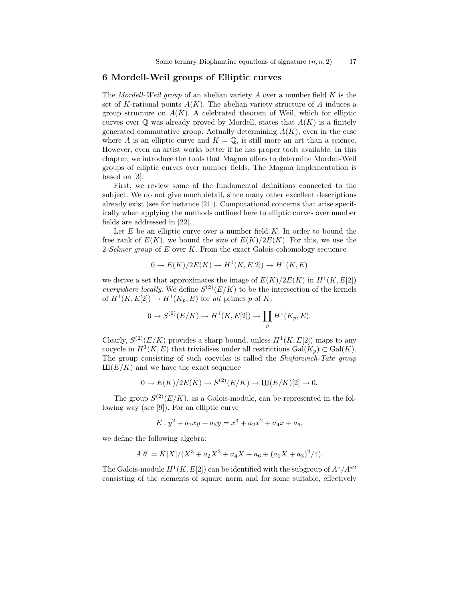## 6 Mordell-Weil groups of Elliptic curves

The Mordell-Weil group of an abelian variety  $A$  over a number field  $K$  is the set of K-rational points  $A(K)$ . The abelian variety structure of A induces a group structure on  $A(K)$ . A celebrated theorem of Weil, which for elliptic curves over  $\mathbb Q$  was already proved by Mordell, states that  $A(K)$  is a finitely generated commutative group. Actually determining  $A(K)$ , even in the case where A is an elliptic curve and  $K = \mathbb{Q}$ , is still more an art than a science. However, even an artist works better if he has proper tools available. In this chapter, we introduce the tools that Magma offers to determine Mordell-Weil groups of elliptic curves over number fields. The Magma implementation is based on [3].

First, we review some of the fundamental definitions connected to the subject. We do not give much detail, since many other excellent descriptions already exist (see for instance [21]). Computational concerns that arise specifically when applying the methods outlined here to elliptic curves over number fields are addressed in [22].

Let  $E$  be an elliptic curve over a number field  $K$ . In order to bound the free rank of  $E(K)$ , we bound the size of  $E(K)/2E(K)$ . For this, we use the 2-Selmer group of  $E$  over  $K$ . From the exact Galois-cohomology sequence

$$
0 \to E(K)/2E(K) \to H^1(K, E[2]) \to H^1(K, E)
$$

we derive a set that approximates the image of  $E(K)/2E(K)$  in  $H^1(K, E[2])$ everywhere locally. We define  $S^{(2)}(E/K)$  to be the intersection of the kernels of  $H^1(K, E[2]) \to H^1(K_p, E)$  for all primes p of K:

$$
0 \to S^{(2)}(E/K) \to H^1(K, E[2]) \to \prod_p H^1(K_p, E).
$$

Clearly,  $S^{(2)}(E/K)$  provides a sharp bound, unless  $H^1(K, E[2])$  maps to any cocycle in  $H^1(K, E)$  that trivialises under all restrictions  $Gal(K_p) \subset Gal(K)$ . The group consisting of such cocycles is called the *Shafarevich-Tate group*  $III(E/K)$  and we have the exact sequence

$$
0 \to E(K)/2E(K) \to S^{(2)}(E/K) \to \text{III}(E/K)[2] \to 0.
$$

The group  $S^{(2)}(E/K)$ , as a Galois-module, can be represented in the following way (see [9]). For an elliptic curve

$$
E: y^2 + a_1xy + a_3y = x^3 + a_2x^2 + a_4x + a_6,
$$

we define the following algebra:

$$
A[\theta] = K[X]/(X^3 + a_2X^2 + a_4X + a_6 + (a_1X + a_3)^2/4).
$$

The Galois-module  $H^1(K, E[2])$  can be identified with the subgroup of  $A^*/A^{*2}$ consisting of the elements of square norm and for some suitable, effectively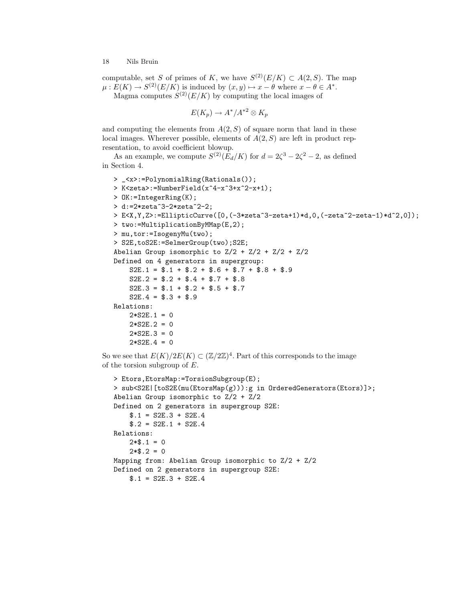computable, set S of primes of K, we have  $S^{(2)}(E/K) \subset A(2, S)$ . The map  $\mu: E(K) \to S^{(2)}(E/K)$  is induced by  $(x, y) \mapsto x - \theta$  where  $x - \theta \in A^*$ . Magma computes  $S^{(2)}(E/K)$  by computing the local images of

$$
E(K_p) \to A^*/A^{*2} \otimes K_p
$$

and computing the elements from  $A(2, S)$  of square norm that land in these local images. Wherever possible, elements of  $A(2, S)$  are left in product representation, to avoid coefficient blowup.

As an example, we compute  $S^{(2)}(E_d/K)$  for  $d = 2\zeta^3 - 2\zeta^2 - 2$ , as defined in Section 4.

```
> _<x>:=PolynomialRing(Rationals());
> K<zeta>:=NumberField(x^4-x^3+x^2-x+1);
> OK:=IntegerRing(K);
> d:=2*zeta^3-2*zeta^2-2;
> E<X,Y,Z>:=EllipticCurve([0,(-3*zeta^3-zeta+1)*d,0,(-zeta^2-zeta-1)*d^2,0]);
> two:=MultiplicationByMMap(E,2);
> mu,tor:=IsogenyMu(two);
> S2E,toS2E:=SelmerGroup(two);S2E;
Abelian Group isomorphic to Z/2 + Z/2 + Z/2 + Z/2Defined on 4 generators in supergroup:
    S2E.1 = $.1 + $.2 + $.6 + $.7 + $.8 + $.9S2E.2 = $.2 + $.4 + $.7 + $.8S2E.3 = $.1 + $.2 + $.5 + $.7S2E.4 = $.3 + $.9Relations:
    2*S2E.1 = 02*S2E.2 = 02*S2E.3 = 02*S2E.4 = 0
```
So we see that  $E(K)/2E(K) \subset (\mathbb{Z}/2\mathbb{Z})^4$ . Part of this corresponds to the image of the torsion subgroup of E.

```
> Etors,EtorsMap:=TorsionSubgroup(E);
> sub<S2E|[toS2E(mu(EtorsMap(g))):g in OrderedGenerators(Etors)]>;
Abelian Group isomorphic to Z/2 + Z/2
Defined on 2 generators in supergroup S2E:
    $.1 = S2E.3 + S2E.4$.2 = S2E.1 + S2E.4Relations:
    2*\$.1 = 02*\$. 2 = 0Mapping from: Abelian Group isomorphic to Z/2 + Z/2
Defined on 2 generators in supergroup S2E:
    $.1 = S2E.3 + S2E.4
```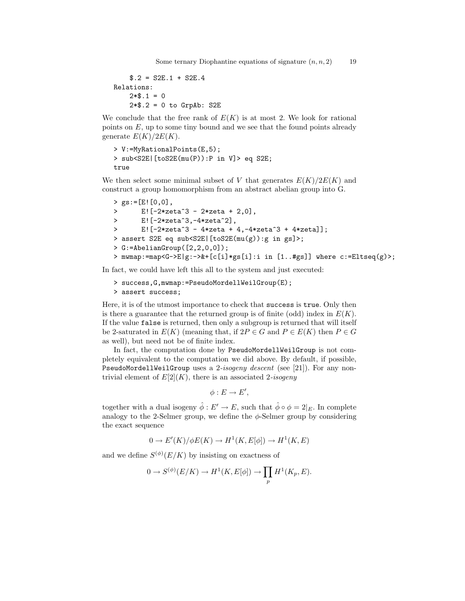```
$.2 = S2E.1 + S2E.4Relations:
    2*\$.1 = 02*$.2 = 0 to GrpAb: S2E
```
We conclude that the free rank of  $E(K)$  is at most 2. We look for rational points on  $E$ , up to some tiny bound and we see that the found points already generate  $E(K)/2E(K)$ .

```
> V:=MyRationalPoints(E,5);
> sub<S2E|[toS2E(mu(P)):P in V]> eq S2E;
true
```
We then select some minimal subset of V that generates  $E(K)/2E(K)$  and construct a group homomorphism from an abstract abelian group into G.

```
> gs:=[E![0,0],
> E![-2*zeta^3 - 2*zeta + 2,0],> E![-2*zeta^3,-4*zeta^2],
> E![-2*zeta^3 - 4*zeta + 4, -4*zeta^3 + 4*zeta];
> assert S2E eq sub<S2E|[toS2E(mu(g)):g in gs]>;
> G:=AbelianGroup([2,2,0,0]);
> mwmap:=map<G->E|g:->&+[c[i]*gs[i]:i in [1..#gs]] where c:=ELtseq(g)>;
```
In fact, we could have left this all to the system and just executed:

```
> success,G,mwmap:=PseudoMordellWeilGroup(E);
> assert success;
```
Here, it is of the utmost importance to check that success is true. Only then is there a guarantee that the returned group is of finite (odd) index in  $E(K)$ . If the value false is returned, then only a subgroup is returned that will itself be 2-saturated in  $E(K)$  (meaning that, if  $2P \in G$  and  $P \in E(K)$  then  $P \in G$ as well), but need not be of finite index.

In fact, the computation done by PseudoMordellWeilGroup is not completely equivalent to the computation we did above. By default, if possible, PseudoMordellWeilGroup uses a 2-isogeny descent (see [21]). For any nontrivial element of  $E[2](K)$ , there is an associated 2-isogeny

$$
\phi: E \to E',
$$

together with a dual isogeny  $\hat{\phi}: E' \to E$ , such that  $\hat{\phi} \circ \phi = 2|_E$ . In complete analogy to the 2-Selmer group, we define the  $\phi$ -Selmer group by considering the exact sequence

$$
0 \to E'(K)/\phi E(K) \to H^1(K, E[\phi]) \to H^1(K, E)
$$

and we define  $S^{(\phi)}(E/K)$  by insisting on exactness of

$$
0 \to S^{(\phi)}(E/K) \to H^1(K, E[\phi]) \to \prod_p H^1(K_p, E).
$$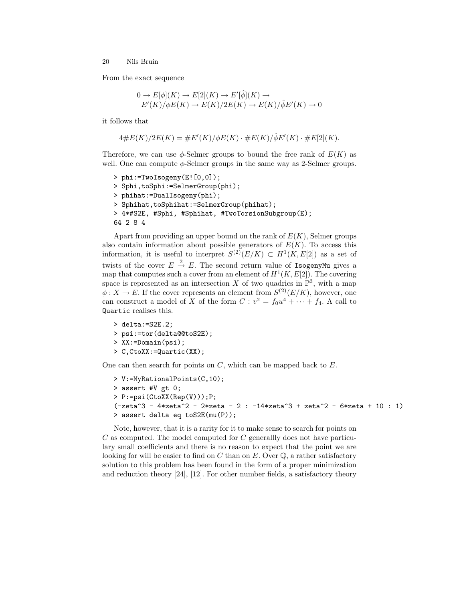From the exact sequence

$$
0 \to E[\phi](K) \to E[2](K) \to E'[\hat{\phi}](K) \to
$$
  

$$
E'(K)/\phi E(K) \to E(K)/2E(K) \to E(K)/\hat{\phi}E'(K) \to 0
$$

it follows that

$$
4 \# E(K)/2E(K) = \# E'(K)/\phi E(K) \cdot \# E(K)/\hat{\phi} E'(K) \cdot \# E[2](K).
$$

Therefore, we can use  $\phi$ -Selmer groups to bound the free rank of  $E(K)$  as well. One can compute  $\phi$ -Selmer groups in the same way as 2-Selmer groups.

```
> phi:=TwoIsogeny(E![0,0]);
> Sphi,toSphi:=SelmerGroup(phi);
> phihat:=DualIsogeny(phi);
> Sphihat,toSphihat:=SelmerGroup(phihat);
> 4*#S2E, #Sphi, #Sphihat, #TwoTorsionSubgroup(E);
64 2 8 4
```
Apart from providing an upper bound on the rank of  $E(K)$ , Selmer groups also contain information about possible generators of  $E(K)$ . To access this information, it is useful to interpret  $S^{(2)}(E/K) \subset H^1(K, E[2])$  as a set of twists of the cover  $E \stackrel{2}{\rightarrow} E$ . The second return value of IsogenyMu gives a map that computes such a cover from an element of  $H^1(K, E[2])$ . The covering space is represented as an intersection X of two quadrics in  $\mathbb{P}^3$ , with a map  $\phi: X \to E$ . If the cover represents an element from  $S^{(2)}(E/K)$ , however, one can construct a model of X of the form  $C: v^2 = f_0u^4 + \cdots + f_4$ . A call to Quartic realises this.

```
> delta:=S2E.2;
> psi:=tor(delta@@toS2E);
> XX:=Domain(psi);
> C,CtoXX:=Quartic(XX);
```
One can then search for points on  $C$ , which can be mapped back to  $E$ .

```
> V:=MyRationalPoints(C,10);
> assert #V gt 0;
> P:=psi(CtoXX(Rep(V)));P;
(-zeta - 3 - 4*zeta - 2) - 2*zeta - 2 : -14*zeta - 3 + zeta - 2 - 6*zeta + 10 : 1)
> assert delta eq toS2E(mu(P));
```
Note, however, that it is a rarity for it to make sense to search for points on  $C$  as computed. The model computed for  $C$  generallly does not have particulary small coefficients and there is no reason to expect that the point we are looking for will be easier to find on C than on E. Over  $\mathbb{O}$ , a rather satisfactory solution to this problem has been found in the form of a proper minimization and reduction theory [24], [12]. For other number fields, a satisfactory theory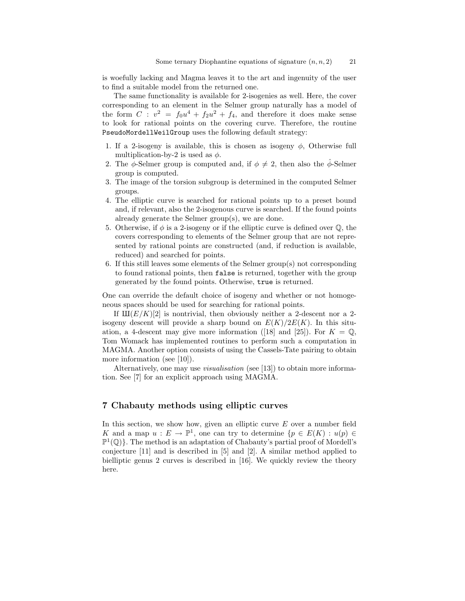is woefully lacking and Magma leaves it to the art and ingenuity of the user to find a suitable model from the returned one.

The same functionality is available for 2-isogenies as well. Here, the cover corresponding to an element in the Selmer group naturally has a model of the form  $C: v^2 = f_0u^4 + f_2u^2 + f_4$ , and therefore it does make sense to look for rational points on the covering curve. Therefore, the routine PseudoMordellWeilGroup uses the following default strategy:

- 1. If a 2-isogeny is available, this is chosen as isogeny  $\phi$ , Otherwise full multiplication-by-2 is used as  $\phi$ .
- 2. The  $\phi$ -Selmer group is computed and, if  $\phi \neq 2$ , then also the  $\phi$ -Selmer group is computed.
- 3. The image of the torsion subgroup is determined in the computed Selmer groups.
- 4. The elliptic curve is searched for rational points up to a preset bound and, if relevant, also the 2-isogenous curve is searched. If the found points already generate the Selmer group(s), we are done.
- 5. Otherwise, if  $\phi$  is a 2-isogeny or if the elliptic curve is defined over  $\mathbb{Q}$ , the covers corresponding to elements of the Selmer group that are not represented by rational points are constructed (and, if reduction is available, reduced) and searched for points.
- 6. If this still leaves some elements of the Selmer group(s) not corresponding to found rational points, then false is returned, together with the group generated by the found points. Otherwise, true is returned.

One can override the default choice of isogeny and whether or not homogeneous spaces should be used for searching for rational points.

If  $\text{III}(E/K)[2]$  is nontrivial, then obviously neither a 2-descent nor a 2isogeny descent will provide a sharp bound on  $E(K)/2E(K)$ . In this situation, a 4-descent may give more information ([18] and [25]). For  $K = \mathbb{Q}$ , Tom Womack has implemented routines to perform such a computation in MAGMA. Another option consists of using the Cassels-Tate pairing to obtain more information (see [10]).

Alternatively, one may use *visualisation* (see [13]) to obtain more information. See [7] for an explicit approach using MAGMA.

## 7 Chabauty methods using elliptic curves

In this section, we show how, given an elliptic curve  $E$  over a number field K and a map  $u : E \to \mathbb{P}^1$ , one can try to determine  $\{p \in E(K) : u(p) \in$  $\mathbb{P}^1(\mathbb{Q})$ . The method is an adaptation of Chabauty's partial proof of Mordell's conjecture [11] and is described in [5] and [2]. A similar method applied to bielliptic genus 2 curves is described in [16]. We quickly review the theory here.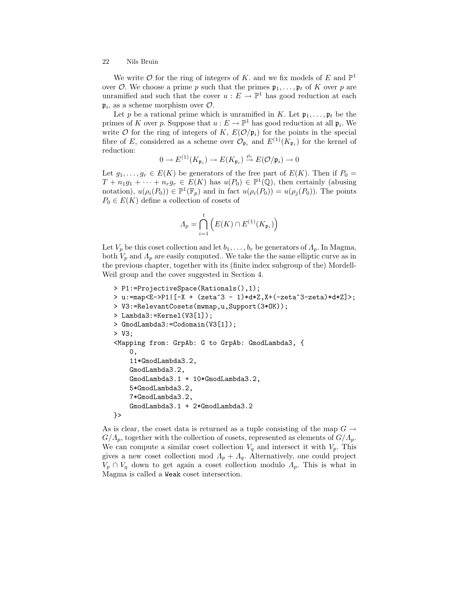We write  $\mathcal O$  for the ring of integers of K, and we fix models of E and  $\mathbb P^1$ over O. We choose a prime p such that the primes  $\mathfrak{p}_1, \ldots, \mathfrak{p}_t$  of K over p are unramified and such that the cover  $u : E \to \mathbb{P}^1$  has good reduction at each  $\mathfrak{p}_i$ , as a scheme morphism over  $\mathcal{O}$ .

Let p be a rational prime which is unramified in K. Let  $\mathfrak{p}_1, \ldots, \mathfrak{p}_t$  be the primes of K over p. Suppose that  $u : E \to \mathbb{P}^1$  has good reduction at all  $\mathfrak{p}_i$ . We write  $\mathcal O$  for the ring of integers of K,  $E(\mathcal O/\mathfrak p_i)$  for the points in the special fibre of E, considered as a scheme over  $\mathcal{O}_{\mathfrak{p}_i}$  and  $E^{(1)}(K_{\mathfrak{p}_i})$  for the kernel of reduction:

$$
0 \to E^{(1)}(K_{\mathfrak{p}_i}) \to E(K_{\mathfrak{p}_i}) \stackrel{\rho_i}{\to} E(\mathcal{O}/\mathfrak{p}_i) \to 0
$$

Let  $g_1, \ldots, g_r \in E(K)$  be generators of the free part of  $E(K)$ . Then if  $P_0 =$  $T + n_1g_1 + \cdots + n_rg_r \in E(K)$  has  $u(P_0) \in \mathbb{P}^1(\mathbb{Q})$ , then certainly (abusing notation),  $u(\rho_i(P_0)) \in \mathbb{P}^1(\mathbb{F}_p)$  and in fact  $u(\rho_i(P_0)) = u(\rho_i(P_0))$ . The points  $P_0 \in E(K)$  define a collection of cosets of

$$
\varLambda_p=\bigcap_{i=1}^t \Big(E(K)\cap E^{(1)}(K_{\mathfrak{p}_i})\Big)
$$

Let  $V_p$  be this coset collection and let  $b_1, \ldots, b_r$  be generators of  $\Lambda_p$ . In Magma, both  $V_p$  and  $\Lambda_p$  are easily computed.. We take the the same elliptic curve as in the previous chapter, together with its (finite index subgroup of the) Mordell-Weil group and the cover suggested in Section 4.

```
> P1:=ProjectiveSpace(Rationals(),1);
> u:=map<E->P1|[-X + (zeta^3 - 1)*d*Z,X+(-zeta^3-zeta)*d*Z]>;
> V3:=RelevantCosets(mwmap,u,Support(3*OK));
> Lambda3:=Kernel(V3[1]);
> GmodLambda3:=Codomain(V3[1]);
> V3;
<Mapping from: GrpAb: G to GrpAb: GmodLambda3, {
    0,
    11*GmodLambda3.2,
    GmodLambda3.2,
    GmodLambda3.1 + 10*GmodLambda3.2,
    5*GmodLambda3.2,
    7*GmodLambda3.2,
    GmodLambda3.1 + 2*GmodLambda3.2
}>
```
As is clear, the coset data is returned as a tuple consisting of the map  $G \rightarrow$  $G/\Lambda_p$ , together with the collection of cosets, represented as elements of  $G/\Lambda_p$ . We can compute a similar coset collection  $V_q$  and intersect it with  $V_p$ . This gives a new coset collection mod  $\Lambda_p + \Lambda_q$ . Alternatively, one could project  $V_p \cap V_q$  down to get again a coset collection modulo  $\Lambda_p$ . This is what in Magma is called a Weak coset intersection.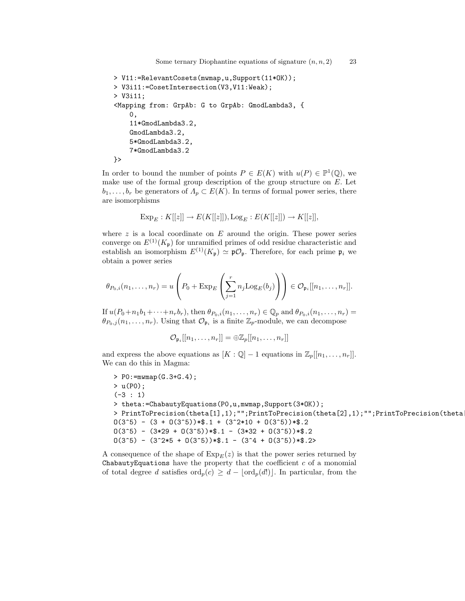```
> V11:=RelevantCosets(mwmap,u,Support(11*OK));
> V3i11:=CosetIntersection(V3,V11:Weak);
> V3i11;
<Mapping from: GrpAb: G to GrpAb: GmodLambda3, {
    0,
    11*GmodLambda3.2,
    GmodLambda3.2,
    5*GmodLambda3.2,
    7*GmodLambda3.2
}>
```
In order to bound the number of points  $P \in E(K)$  with  $u(P) \in \mathbb{P}^1(\mathbb{Q})$ , we make use of the formal group description of the group structure on E. Let  $b_1, \ldots, b_r$  be generators of  $\Lambda_p \subset E(K)$ . In terms of formal power series, there are isomorphisms

$$
Exp_E: K[[z]] \to E(K[[z]]), Log_E: E(K[[z]]) \to K[[z]],
$$

where  $z$  is a local coordinate on  $E$  around the origin. These power series converge on  $E^{(1)}(K_p)$  for unramified primes of odd residue characteristic and establish an isomorphism  $E^{(1)}(K_{\mathfrak{p}}) \simeq {\mathfrak{p}}{\mathcal{O}}_{\mathfrak{p}}$ . Therefore, for each prime  $\mathfrak{p}_i$  we obtain a power series

$$
\theta_{P_0,i}(n_1,\ldots,n_r)=u\left(P_0+\mathrm{Exp}_E\left(\sum_{j=1}^r n_j\mathrm{Log}_E(b_j)\right)\right)\in\mathcal{O}_{\mathfrak{p}_i}[[n_1,\ldots,n_r]].
$$

If  $u(P_0+n_1b_1+\cdots+n_rb_r)$ , then  $\theta_{P_0,i}(n_1,\ldots,n_r) \in \mathbb{Q}_p$  and  $\theta_{P_0,i}(n_1,\ldots,n_r)$  $\theta_{P_0,j}(n_1,\ldots,n_r)$ . Using that  $\mathcal{O}_{\mathfrak{p}_i}$  is a finite  $\mathbb{Z}_p$ -module, we can decompose

$$
\mathcal{O}_{\mathfrak{p}_i}[[n_1,\ldots,n_r]] = \oplus \mathbb{Z}_p[[n_1,\ldots,n_r]]
$$

and express the above equations as  $[K : \mathbb{Q}] - 1$  equations in  $\mathbb{Z}_p[[n_1, \ldots, n_r]]$ . We can do this in Magma:

```
> PO: = mwmap(G.3+G.4);> u(P0);
(-3 : 1)> theta:=ChabautyEquations(P0,u,mwmap,Support(3*OK));
> PrintToPrecision(theta[1],1);"";PrintToPrecision(theta[2],1);"";PrintToPrecision(theta
0(3<sup>5</sup>) - (3 + 0(3<sup>5</sup>))*.1 + (3<sup>2</sup>*10 + 0(3<sup>5</sup>))*.2)0(3^5) - (3*29 + 0(3^5))*1 - (3*32 + 0(3^5))*2)0(3^5) - (3^2*5 + 0(3^5))*1 - (3^4 + 0(3^5))*1^2)
```
A consequence of the shape of  $Exp_E(z)$  is that the power series returned by ChabautyEquations have the property that the coefficient  $c$  of a monomial of total degree d satisfies  $\text{ord}_p(c) \geq d - |\text{ord}_p(d)|$ . In particular, from the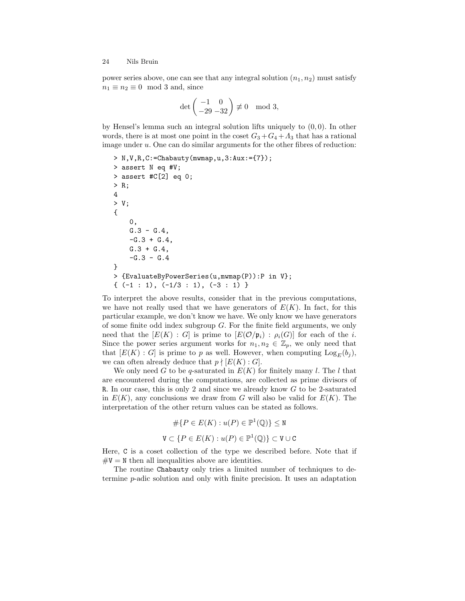power series above, one can see that any integral solution  $(n_1, n_2)$  must satisfy  $n_1 \equiv n_2 \equiv 0 \mod 3$  and, since

$$
\det\begin{pmatrix} -1 & 0 \\ -29 & -32 \end{pmatrix} \not\equiv 0 \mod 3,
$$

by Hensel's lemma such an integral solution lifts uniquely to  $(0, 0)$ . In other words, there is at most one point in the coset  $G_3 + G_4 + A_3$  that has a rational image under  $u$ . One can do similar arguments for the other fibres of reduction:

```
> N,V,R,C:=Chabauty(mwmap,u,3:Aux:={7});
> assert N eq #V;
> assert #C[2] eq 0;
> R;
4
> V;
{
    0,
    G.3 - G.4,
    -G.3 + G.4,G.3 + G.4,
    -G.3 - G.4}
> {EvaluateByPowerSeries(u,mwmap(P)):P in V};
\{(-1 : 1), (-1/3 : 1), (-3 : 1)\}
```
To interpret the above results, consider that in the previous computations, we have not really used that we have generators of  $E(K)$ . In fact, for this particular example, we don't know we have. We only know we have generators of some finite odd index subgroup  $G$ . For the finite field arguments, we only need that the  $[E(K) : G]$  is prime to  $[E(\mathcal{O}/\mathfrak{p}_i) : \rho_i(G)]$  for each of the i. Since the power series argument works for  $n_1, n_2 \in \mathbb{Z}_p$ , we only need that that  $[E(K) : G]$  is prime to p as well. However, when computing  $Log_E(b_i)$ , we can often already deduce that  $p \nmid [E(K):G]$ .

We only need G to be q-saturated in  $E(K)$  for finitely many l. The l that are encountered during the computations, are collected as prime divisors of R. In our case, this is only 2 and since we already know  $G$  to be 2-saturated in  $E(K)$ , any conclusions we draw from G will also be valid for  $E(K)$ . The interpretation of the other return values can be stated as follows.

$$
\#\{P \in E(K) : u(P) \in \mathbb{P}^1(\mathbb{Q})\} \le \mathbf{N}
$$
  

$$
\mathbf{V} \subset \{P \in E(K) : u(P) \in \mathbb{P}^1(\mathbb{Q})\} \subset \mathbf{V} \cup \mathbf{C}
$$

Here, C is a coset collection of the type we described before. Note that if  $\#V = N$  then all inequalities above are identities.

The routine Chabauty only tries a limited number of techniques to determine p-adic solution and only with finite precision. It uses an adaptation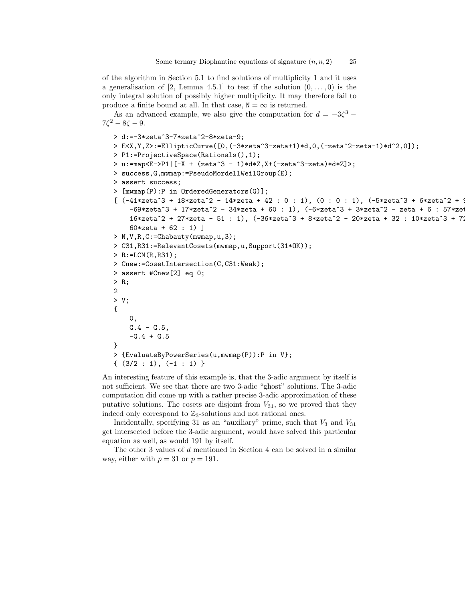of the algorithm in Section 5.1 to find solutions of multiplicity 1 and it uses a generalisation of [2, Lemma 4.5.1] to test if the solution  $(0, \ldots, 0)$  is the only integral solution of possibly higher multiplicity. It may therefore fail to produce a finite bound at all. In that case,  $N = \infty$  is returned.

As an advanced example, we also give the computation for  $d = -3\zeta^3$  –  $7\zeta^2 - 8\zeta - 9.$ 

```
> d:=-3*zeta^3-7*zeta^2-8*zeta-9;
> E<X,Y,Z>:=EllipticCurve([0,(-3*zeta^3-zeta+1)*d,0,(-zeta^2-zeta-1)*d^2,0]);
> P1:=ProjectiveSpace(Rationals(),1);
> u:=map<E->P1|[-X + (zeta^3 - 1)*d*Z,X+(-zeta^3-zeta)*d*Z]>;
> success,G,mwmap:=PseudoMordellWeilGroup(E);
> assert success;
> [mwmap(P):P in OrderedGenerators(G)];
[ (-41 * zeta^3 + 18 * zeta^2 - 14 * zeta + 42 : 0 : 1), (0 : 0 : 1), (-5 * zeta^3 + 6 * zeta^2 + 9)-69*zeta^3 + 17*zeta^2 - 34*zeta + 60 : 1), (-6*zeta^3 + 3*zeta^2 - zeta + 6 : 57*zet16*zeta^2 + 27*zeta - 51 : 1), (-36*zeta^3 + 8*zeta^2 - 20*zeta + 32 : 10*zeta^3 + 72*)60*zeta + 62 : 1) ]
> N,V,R,C:=Chabauty(mwmap,u,3);
> C31,R31:=RelevantCosets(mwmap,u,Support(31*OK));
> R:=LCM(R,R31);
> Cnew:=CosetIntersection(C,C31:Weak);
> assert #Cnew[2] eq 0;
> R;
2
> V;
{
    0,
    G.4 - G.5,
    -G.4 + G.5}
> {EvaluateByPowerSeries(u,mwmap(P)):P in V};
\{ (3/2 : 1), (-1 : 1) \}
```
An interesting feature of this example is, that the 3-adic argument by itself is not sufficient. We see that there are two 3-adic "ghost" solutions. The 3-adic computation did come up with a rather precise 3-adic approximation of these putative solutions. The cosets are disjoint from  $V_{31}$ , so we proved that they indeed only correspond to  $\mathbb{Z}_3$ -solutions and not rational ones.

Incidentally, specifying 31 as an "auxiliary" prime, such that  $V_3$  and  $V_{31}$ get intersected before the 3-adic argument, would have solved this particular equation as well, as would 191 by itself.

The other 3 values of d mentioned in Section 4 can be solved in a similar way, either with  $p = 31$  or  $p = 191$ .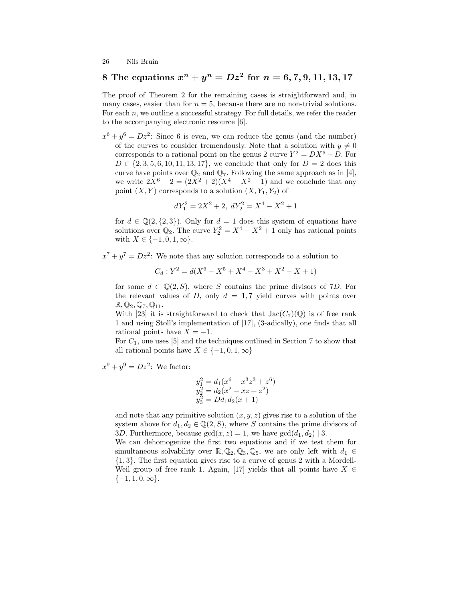## 8 The equations  $x^n + y^n = Dz^2$  for  $n = 6, 7, 9, 11, 13, 17$

The proof of Theorem 2 for the remaining cases is straightforward and, in many cases, easier than for  $n = 5$ , because there are no non-trivial solutions. For each  $n$ , we outline a successful strategy. For full details, we refer the reader to the accompanying electronic resource [6].

 $x^6 + y^6 = Dz^2$ : Since 6 is even, we can reduce the genus (and the number) of the curves to consider tremendously. Note that a solution with  $y \neq 0$ corresponds to a rational point on the genus 2 curve  $Y^2 = DX^6 + D$ . For  $D \in \{2, 3, 5, 6, 10, 11, 13, 17\}$ , we conclude that only for  $D = 2$  does this curve have points over  $\mathbb{Q}_2$  and  $\mathbb{Q}_7$ . Following the same approach as in [4], we write  $2X^6 + 2 = (2X^2 + 2)(X^4 - X^2 + 1)$  and we conclude that any point  $(X, Y)$  corresponds to a solution  $(X, Y_1, Y_2)$  of

$$
dY_1^2 = 2X^2 + 2, \ dY_2^2 = X^4 - X^2 + 1
$$

for  $d \in \mathbb{Q}(2, \{2, 3\})$ . Only for  $d = 1$  does this system of equations have solutions over  $\mathbb{Q}_2$ . The curve  $Y_2^2 = X^4 - X^2 + 1$  only has rational points with  $X \in \{-1, 0, 1, \infty\}.$ 

 $x^7 + y^7 = Dz^2$ : We note that any solution corresponds to a solution to

$$
C_d: Y^2 = d(X^6 - X^5 + X^4 - X^3 + X^2 - X + 1)
$$

for some  $d \in \mathbb{Q}(2, S)$ , where S contains the prime divisors of 7D. For the relevant values of D, only  $d = 1, 7$  yield curves with points over  $\mathbb{R}, \mathbb{Q}_2, \mathbb{Q}_7, \mathbb{Q}_{11}.$ 

With [23] it is straightforward to check that  $Jac(C_7)(\mathbb{Q})$  is of free rank 1 and using Stoll's implementation of [17], (3-adically), one finds that all rational points have  $X = -1$ .

For  $C_1$ , one uses [5] and the techniques outlined in Section 7 to show that all rational points have  $X \in \{-1, 0, 1, \infty\}$ 

 $x^9 + y^9 = Dz^2$ : We factor:

$$
y_1^2 = d_1(x^6 - x^3z^3 + z^6)
$$
  
\n
$$
y_2^2 = d_2(x^2 - xz + z^2)
$$
  
\n
$$
y_3^2 = Dd_1d_2(x + 1)
$$

and note that any primitive solution  $(x, y, z)$  gives rise to a solution of the system above for  $d_1, d_2 \in \mathbb{Q}(2, S)$ , where S contains the prime divisors of 3D. Furthermore, because  $gcd(x, z) = 1$ , we have  $gcd(d_1, d_2) | 3$ .

We can dehomogenize the first two equations and if we test them for simultaneous solvability over  $\mathbb{R}, \mathbb{Q}_2, \mathbb{Q}_3, \mathbb{Q}_5$ , we are only left with  $d_1 \in$ {1, 3}. The first equation gives rise to a curve of genus 2 with a Mordell-Weil group of free rank 1. Again, [17] yields that all points have  $X \in$  $\{-1, 1, 0, \infty\}.$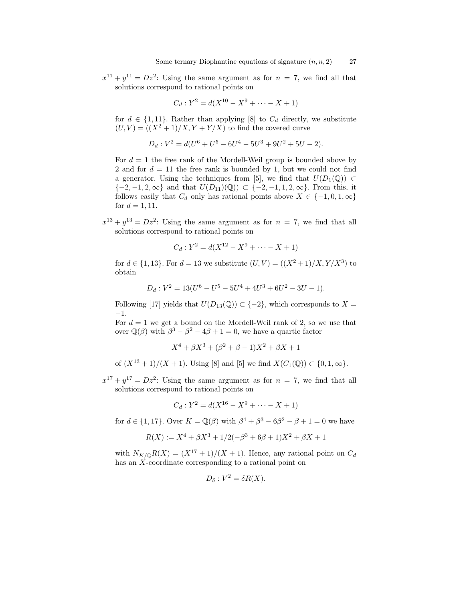$x^{11} + y^{11} = Dz^2$ : Using the same argument as for  $n = 7$ , we find all that solutions correspond to rational points on

$$
C_d: Y^2 = d(X^{10} - X^9 + \dots - X + 1)
$$

for  $d \in \{1, 11\}$ . Rather than applying [8] to  $C_d$  directly, we substitute  $(U, V) = ((X<sup>2</sup> + 1)/X, Y + Y/X)$  to find the covered curve

$$
D_d: V^2 = d(U^6 + U^5 - 6U^4 - 5U^3 + 9U^2 + 5U - 2).
$$

For  $d = 1$  the free rank of the Mordell-Weil group is bounded above by 2 and for  $d = 11$  the free rank is bounded by 1, but we could not find a generator. Using the techniques from [5], we find that  $U(D_1(\mathbb{Q})) \subset$  $\{-2, -1, 2, \infty\}$  and that  $U(D_{11})(\mathbb{Q}) \subset \{-2, -1, 1, 2, \infty\}$ . From this, it follows easily that  $C_d$  only has rational points above  $X \in \{-1,0,1,\infty\}$ for  $d = 1, 11$ .

 $x^{13} + y^{13} = Dz^2$ : Using the same argument as for  $n = 7$ , we find that all solutions correspond to rational points on

$$
C_d: Y^2 = d(X^{12} - X^9 + \dots - X + 1)
$$

for  $d \in \{1, 13\}$ . For  $d = 13$  we substitute  $(U, V) = ((X^2 + 1)/X, Y/X^3)$  to obtain

$$
D_d: V^2 = 13(U^6 - U^5 - 5U^4 + 4U^3 + 6U^2 - 3U - 1).
$$

Following [17] yields that  $U(D_{13}(\mathbb{Q})) \subset \{-2\}$ , which corresponds to  $X =$ −1.

For  $d = 1$  we get a bound on the Mordell-Weil rank of 2, so we use that over  $\mathbb{Q}(\beta)$  with  $\beta^3 - \beta^2 - 4\beta + 1 = 0$ , we have a quartic factor

$$
X^4 + \beta X^3 + (\beta^2 + \beta - 1)X^2 + \beta X + 1
$$

of  $(X^{13} + 1)/(X + 1)$ . Using [8] and [5] we find  $X(C_1(\mathbb{Q})) \subset \{0, 1, \infty\}$ .

 $x^{17} + y^{17} = Dz^2$ : Using the same argument as for  $n = 7$ , we find that all solutions correspond to rational points on

$$
C_d: Y^2 = d(X^{16} - X^9 + \dots - X + 1)
$$

for  $d \in \{1, 17\}$ . Over  $K = \mathbb{Q}(\beta)$  with  $\beta^4 + \beta^3 - 6\beta^2 - \beta + 1 = 0$  we have

$$
R(X) := X^4 + \beta X^3 + 1/2(-\beta^3 + 6\beta + 1)X^2 + \beta X + 1
$$

with  $N_{K/\mathbb{Q}}R(X) = (X^{17} + 1)/(X + 1)$ . Hence, any rational point on  $C_d$ has an X-coordinate corresponding to a rational point on

$$
D_{\delta}: V^2 = \delta R(X).
$$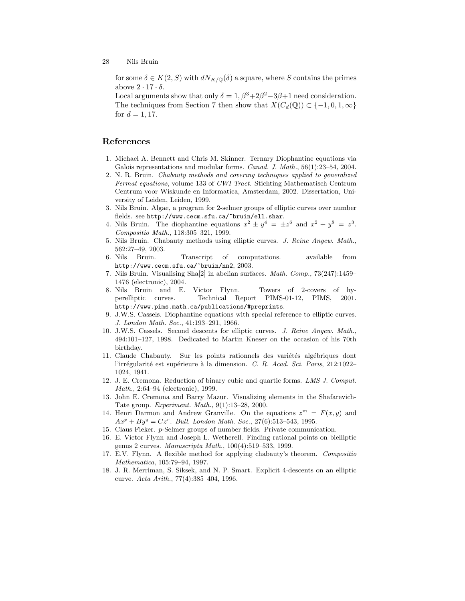for some  $\delta \in K(2, S)$  with  $dN_{K/\mathbb{Q}}(\delta)$  a square, where S contains the primes above  $2 \cdot 17 \cdot \delta$ .

Local arguments show that only  $\delta = 1, \beta^3 + 2\beta^2 - 3\beta + 1$  need consideration. The techniques from Section 7 then show that  $X(C_d(\mathbb{Q})) \subset \{-1, 0, 1, \infty\}$ for  $d = 1, 17$ .

## References

- 1. Michael A. Bennett and Chris M. Skinner. Ternary Diophantine equations via Galois representations and modular forms. Canad. J. Math., 56(1):23-54, 2004.
- 2. N. R. Bruin. Chabauty methods and covering techniques applied to generalized Fermat equations, volume 133 of CWI Tract. Stichting Mathematisch Centrum Centrum voor Wiskunde en Informatica, Amsterdam, 2002. Dissertation, University of Leiden, Leiden, 1999.
- 3. Nils Bruin. Algae, a program for 2-selmer groups of elliptic curves over number fields. see http://www.cecm.sfu.ca/~bruin/ell.shar.
- 4. Nils Bruin. The diophantine equations  $x^2 \pm y^4 = \pm z^6$  and  $x^2 + y^8 = z^3$ . Compositio Math., 118:305–321, 1999.
- 5. Nils Bruin. Chabauty methods using elliptic curves. J. Reine Angew. Math., 562:27–49, 2003.
- 6. Nils Bruin. Transcript of computations. available from http://www.cecm.sfu.ca/~bruin/nn2, 2003.
- 7. Nils Bruin. Visualising Sha[2] in abelian surfaces. Math. Comp., 73(247):1459– 1476 (electronic), 2004.
- 8. Nils Bruin and E. Victor Flynn. Towers of 2-covers of hyperelliptic curves. Technical Report PIMS-01-12, PIMS, 2001. http://www.pims.math.ca/publications/#preprints.
- 9. J.W.S. Cassels. Diophantine equations with special reference to elliptic curves. J. London Math. Soc., 41:193–291, 1966.
- 10. J.W.S. Cassels. Second descents for elliptic curves. J. Reine Angew. Math., 494:101–127, 1998. Dedicated to Martin Kneser on the occasion of his 70th birthday.
- 11. Claude Chabauty. Sur les points rationnels des variétés algébriques dont l'irrégularité est supérieure à la dimension. C. R. Acad. Sci. Paris, 212:1022– 1024, 1941.
- 12. J. E. Cremona. Reduction of binary cubic and quartic forms. LMS J. Comput. Math., 2:64–94 (electronic), 1999.
- 13. John E. Cremona and Barry Mazur. Visualizing elements in the Shafarevich-Tate group. Experiment. Math., 9(1):13–28, 2000.
- 14. Henri Darmon and Andrew Granville. On the equations  $z^m = F(x, y)$  and  $Ax^{p} + By^{q} = Cz^{r}$ . Bull. London Math. Soc., 27(6):513-543, 1995.
- 15. Claus Fieker. p-Selmer groups of number fields. Private communication.
- 16. E. Victor Flynn and Joseph L. Wetherell. Finding rational points on bielliptic genus 2 curves. Manuscripta Math., 100(4):519–533, 1999.
- 17. E.V. Flynn. A flexible method for applying chabauty's theorem. Compositio Mathematica, 105:79–94, 1997.
- 18. J. R. Merriman, S. Siksek, and N. P. Smart. Explicit 4-descents on an elliptic curve. Acta Arith., 77(4):385–404, 1996.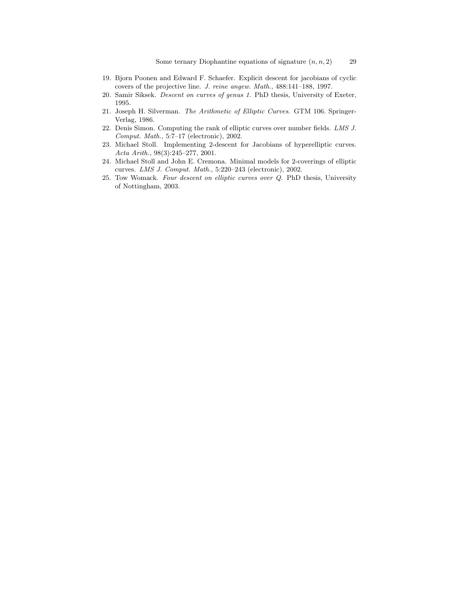- 19. Bjorn Poonen and Edward F. Schaefer. Explicit descent for jacobians of cyclic covers of the projective line. J. reine angew. Math., 488:141–188, 1997.
- 20. Samir Siksek. Descent on curves of genus 1. PhD thesis, University of Exeter, 1995.
- 21. Joseph H. Silverman. The Arithmetic of Elliptic Curves. GTM 106. Springer-Verlag, 1986.
- 22. Denis Simon. Computing the rank of elliptic curves over number fields. LMS J. Comput. Math., 5:7–17 (electronic), 2002.
- 23. Michael Stoll. Implementing 2-descent for Jacobians of hyperelliptic curves. Acta Arith., 98(3):245–277, 2001.
- 24. Michael Stoll and John E. Cremona. Minimal models for 2-coverings of elliptic curves. LMS J. Comput. Math., 5:220–243 (electronic), 2002.
- 25. Tow Womack. Four descent on elliptic curves over Q. PhD thesis, University of Nottingham, 2003.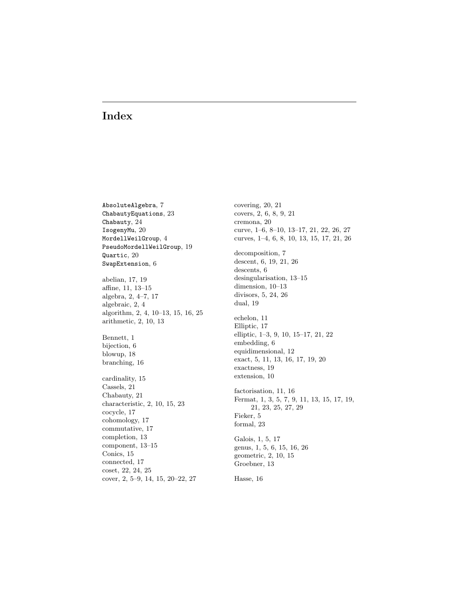## Index

AbsoluteAlgebra, 7 ChabautyEquations, 23 Chabauty, 24 IsogenyMu, 20 MordellWeilGroup, 4 PseudoMordellWeilGroup, 19 Quartic, 20 SwapExtension, 6 abelian, 17, 19 affine, 11, 13–15 algebra, 2, 4–7, 17 algebraic, 2, 4 algorithm, 2, 4, 10–13, 15, 16, 25 arithmetic, 2, 10, 13 Bennett, 1

bijection, 6 blowup, 18 branching, 16

cardinality, 15 Cassels, 21 Chabauty, 21 characteristic, 2, 10, 15, 23 cocycle, 17 cohomology, 17 commutative, 17 completion, 13 component, 13–15 Conics, 15 connected, 17 coset, 22, 24, 25 cover, 2, 5–9, 14, 15, 20–22, 27 covering, 20, 21 covers, 2, 6, 8, 9, 21 cremona, 20 curve, 1–6, 8–10, 13–17, 21, 22, 26, 27 curves, 1–4, 6, 8, 10, 13, 15, 17, 21, 26 decomposition, 7 descent, 6, 19, 21, 26 descents, 6 desingularisation, 13–15 dimension, 10–13 divisors, 5, 24, 26 dual, 19 echelon, 11 Elliptic, 17 elliptic, 1–3, 9, 10, 15–17, 21, 22 embedding, 6 equidimensional, 12 exact, 5, 11, 13, 16, 17, 19, 20 exactness, 19 extension, 10 factorisation, 11, 16 Fermat, 1, 3, 5, 7, 9, 11, 13, 15, 17, 19, 21, 23, 25, 27, 29 Fieker, 5 formal, 23 Galois, 1, 5, 17 genus, 1, 5, 6, 15, 16, 26 geometric, 2, 10, 15 Groebner, 13 Hasse, 16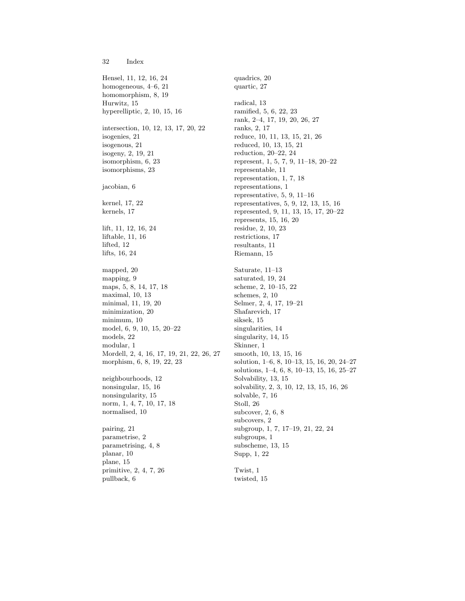32 Index

Hensel, 11, 12, 16, 24 homogeneous, 4–6, 21 homomorphism, 8, 19 Hurwitz, 15 hyperelliptic, 2, 10, 15, 16 intersection, 10, 12, 13, 17, 20, 22 isogenies, 21 isogenous, 21 isogeny, 2, 19, 21 isomorphism, 6, 23 isomorphisms, 23 jacobian, 6 kernel, 17, 22 kernels, 17 lift, 11, 12, 16, 24 liftable, 11, 16 lifted, 12 lifts, 16, 24 mapped, 20 mapping, 9 maps, 5, 8, 14, 17, 18 maximal, 10, 13 minimal, 11, 19, 20 minimization, 20 minimum, 10 model, 6, 9, 10, 15, 20–22 models, 22 modular, 1 Mordell, 2, 4, 16, 17, 19, 21, 22, 26, 27 morphism, 6, 8, 19, 22, 23 neighbourhoods, 12 nonsingular, 15, 16 nonsingularity, 15 norm, 1, 4, 7, 10, 17, 18 normalised, 10 pairing, 21 parametrise, 2 parametrising, 4, 8 planar, 10 plane, 15 primitive, 2, 4, 7, 26 pullback, 6

quadrics, 20 quartic, 27 radical, 13 ramified, 5, 6, 22, 23 rank, 2–4, 17, 19, 20, 26, 27 ranks, 2, 17 reduce, 10, 11, 13, 15, 21, 26 reduced, 10, 13, 15, 21 reduction, 20–22, 24 represent, 1, 5, 7, 9, 11–18, 20–22 representable, 11 representation, 1, 7, 18 representations, 1 representative, 5, 9, 11–16 representatives, 5, 9, 12, 13, 15, 16 represented, 9, 11, 13, 15, 17, 20–22 represents, 15, 16, 20 residue, 2, 10, 23 restrictions, 17 resultants, 11 Riemann, 15 Saturate, 11–13 saturated, 19, 24 scheme, 2, 10–15, 22 schemes, 2, 10 Selmer, 2, 4, 17, 19–21 Shafarevich, 17 siksek, 15 singularities, 14 singularity, 14, 15 Skinner, 1 smooth, 10, 13, 15, 16 solution, 1–6, 8, 10–13, 15, 16, 20, 24–27 solutions, 1–4, 6, 8, 10–13, 15, 16, 25–27 Solvability, 13, 15 solvability, 2, 3, 10, 12, 13, 15, 16, 26 solvable, 7, 16 Stoll, 26 subcover, 2, 6, 8 subcovers, 2 subgroup, 1, 7, 17–19, 21, 22, 24 subgroups, 1 subscheme, 13, 15 Supp, 1, 22 Twist, 1

twisted, 15